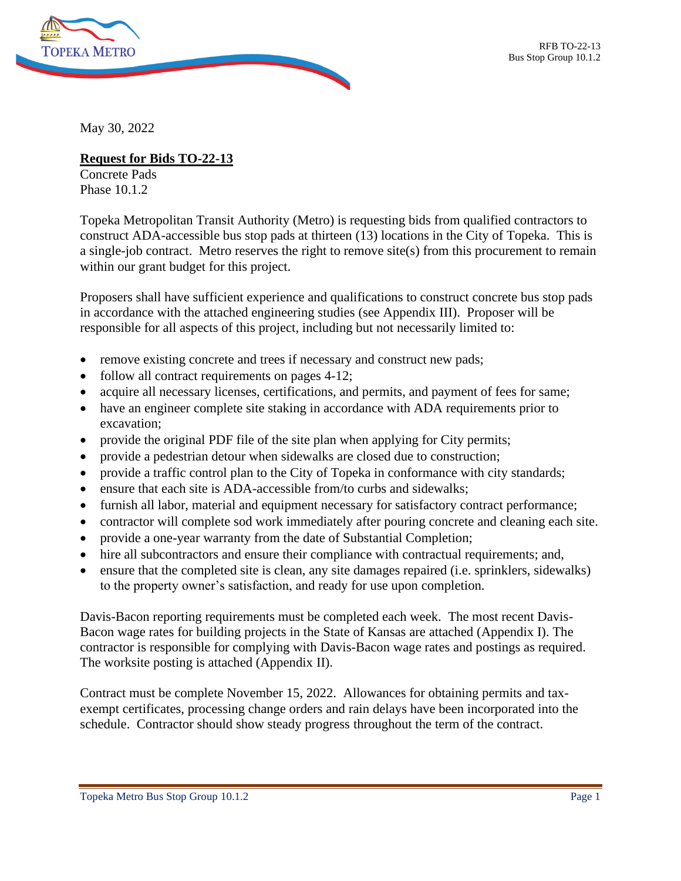

May 30, 2022

**Request for Bids TO-22-13** Concrete Pads Phase 10.1.2

Topeka Metropolitan Transit Authority (Metro) is requesting bids from qualified contractors to construct ADA-accessible bus stop pads at thirteen (13) locations in the City of Topeka. This is a single-job contract. Metro reserves the right to remove site(s) from this procurement to remain within our grant budget for this project.

Proposers shall have sufficient experience and qualifications to construct concrete bus stop pads in accordance with the attached engineering studies (see Appendix III). Proposer will be responsible for all aspects of this project, including but not necessarily limited to:

- remove existing concrete and trees if necessary and construct new pads;
- follow all contract requirements on pages 4-12;
- acquire all necessary licenses, certifications, and permits, and payment of fees for same;
- have an engineer complete site staking in accordance with ADA requirements prior to excavation;
- provide the original PDF file of the site plan when applying for City permits;
- provide a pedestrian detour when sidewalks are closed due to construction;
- provide a traffic control plan to the City of Topeka in conformance with city standards;
- ensure that each site is ADA-accessible from/to curbs and sidewalks;
- furnish all labor, material and equipment necessary for satisfactory contract performance;
- contractor will complete sod work immediately after pouring concrete and cleaning each site.
- provide a one-year warranty from the date of Substantial Completion;
- hire all subcontractors and ensure their compliance with contractual requirements; and,
- ensure that the completed site is clean, any site damages repaired (i.e. sprinklers, sidewalks) to the property owner's satisfaction, and ready for use upon completion.

Davis-Bacon reporting requirements must be completed each week. The most recent Davis-Bacon wage rates for building projects in the State of Kansas are attached (Appendix I). The contractor is responsible for complying with Davis-Bacon wage rates and postings as required. The worksite posting is attached (Appendix II).

Contract must be complete November 15, 2022. Allowances for obtaining permits and taxexempt certificates, processing change orders and rain delays have been incorporated into the schedule. Contractor should show steady progress throughout the term of the contract.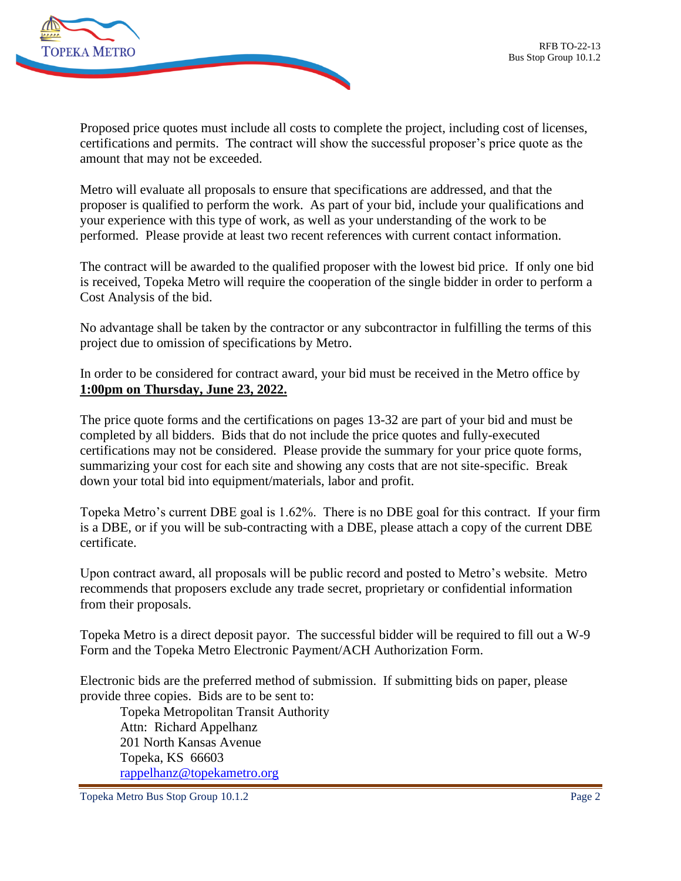

Proposed price quotes must include all costs to complete the project, including cost of licenses, certifications and permits. The contract will show the successful proposer's price quote as the amount that may not be exceeded.

Metro will evaluate all proposals to ensure that specifications are addressed, and that the proposer is qualified to perform the work. As part of your bid, include your qualifications and your experience with this type of work, as well as your understanding of the work to be performed. Please provide at least two recent references with current contact information.

The contract will be awarded to the qualified proposer with the lowest bid price. If only one bid is received, Topeka Metro will require the cooperation of the single bidder in order to perform a Cost Analysis of the bid.

No advantage shall be taken by the contractor or any subcontractor in fulfilling the terms of this project due to omission of specifications by Metro.

In order to be considered for contract award, your bid must be received in the Metro office by **1:00pm on Thursday, June 23, 2022.**

The price quote forms and the certifications on pages 13-32 are part of your bid and must be completed by all bidders. Bids that do not include the price quotes and fully-executed certifications may not be considered. Please provide the summary for your price quote forms, summarizing your cost for each site and showing any costs that are not site-specific. Break down your total bid into equipment/materials, labor and profit.

Topeka Metro's current DBE goal is 1.62%. There is no DBE goal for this contract. If your firm is a DBE, or if you will be sub-contracting with a DBE, please attach a copy of the current DBE certificate.

Upon contract award, all proposals will be public record and posted to Metro's website. Metro recommends that proposers exclude any trade secret, proprietary or confidential information from their proposals.

Topeka Metro is a direct deposit payor. The successful bidder will be required to fill out a W-9 Form and the Topeka Metro Electronic Payment/ACH Authorization Form.

Electronic bids are the preferred method of submission. If submitting bids on paper, please provide three copies. Bids are to be sent to:

Topeka Metropolitan Transit Authority Attn: Richard Appelhanz 201 North Kansas Avenue Topeka, KS 66603 [rappelhanz@topekametro.org](mailto:krichardson@topekametro.org)

Topeka Metro Bus Stop Group 10.1.2 Page 2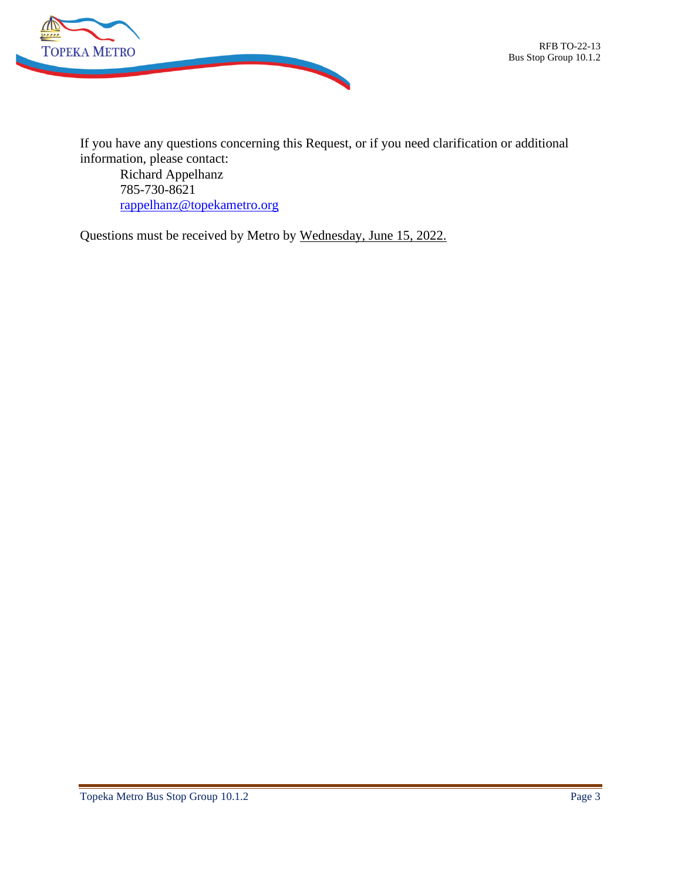

If you have any questions concerning this Request, or if you need clarification or additional information, please contact: Richard Appelhanz 785-730-8621 [rappelhanz@topekametro.org](mailto:rappelhanz@topekametro.org)

Questions must be received by Metro by Wednesday, June 15, 2022.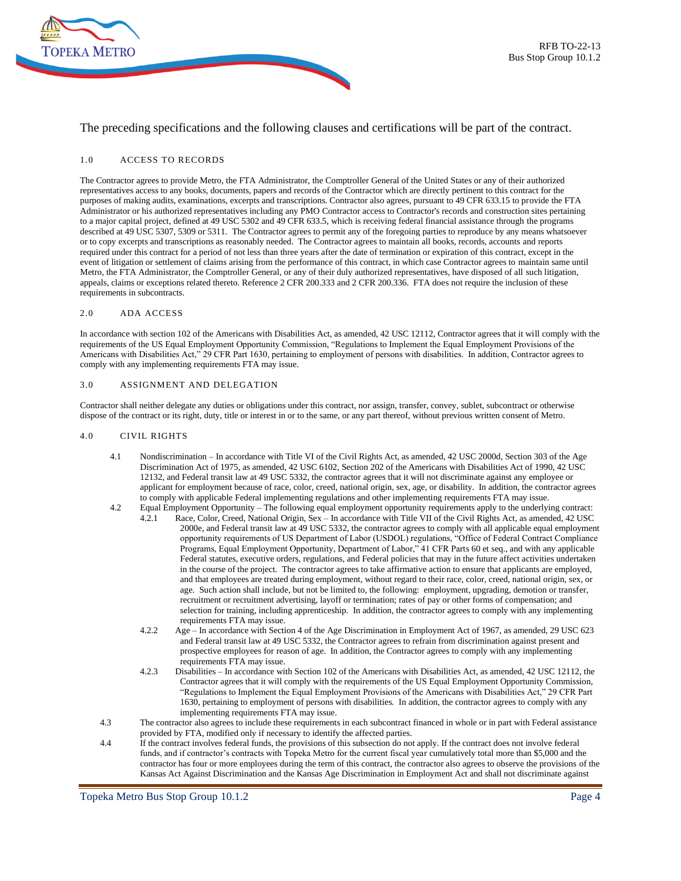

### The preceding specifications and the following clauses and certifications will be part of the contract.

### 1.0 ACCESS TO RECORDS

The Contractor agrees to provide Metro, the FTA Administrator, the Comptroller General of the United States or any of their authorized representatives access to any books, documents, papers and records of the Contractor which are directly pertinent to this contract for the purposes of making audits, examinations, excerpts and transcriptions. Contractor also agrees, pursuant to 49 CFR 633.15 to provide the FTA Administrator or his authorized representatives including any PMO Contractor access to Contractor's records and construction sites pertaining to a major capital project, defined at 49 USC 5302 and 49 CFR 633.5, which is receiving federal financial assistance through the programs described at 49 USC 5307, 5309 or 5311. The Contractor agrees to permit any of the foregoing parties to reproduce by any means whatsoever or to copy excerpts and transcriptions as reasonably needed. The Contractor agrees to maintain all books, records, accounts and reports required under this contract for a period of not less than three years after the date of termination or expiration of this contract, except in the event of litigation or settlement of claims arising from the performance of this contract, in which case Contractor agrees to maintain same until Metro, the FTA Administrator, the Comptroller General, or any of their duly authorized representatives, have disposed of all such litigation, appeals, claims or exceptions related thereto. Reference 2 CFR 200.333 and 2 CFR 200.336. FTA does not require the inclusion of these requirements in subcontracts.

#### 2.0 ADA ACCESS

In accordance with section 102 of the Americans with Disabilities Act, as amended, 42 USC 12112, Contractor agrees that it will comply with the requirements of the US Equal Employment Opportunity Commission, "Regulations to Implement the Equal Employment Provisions of the Americans with Disabilities Act," 29 CFR Part 1630, pertaining to employment of persons with disabilities. In addition, Contractor agrees to comply with any implementing requirements FTA may issue.

### 3.0 ASSIGNMENT AND DELEGATION

Contractor shall neither delegate any duties or obligations under this contract, nor assign, transfer, convey, sublet, subcontract or otherwise dispose of the contract or its right, duty, title or interest in or to the same, or any part thereof, without previous written consent of Metro.

#### 4.0 CIVIL RIGHTS

- 4.1 Nondiscrimination In accordance with Title VI of the Civil Rights Act, as amended, 42 USC 2000d, Section 303 of the Age Discrimination Act of 1975, as amended, 42 USC 6102, Section 202 of the Americans with Disabilities Act of 1990, 42 USC 12132, and Federal transit law at 49 USC 5332, the contractor agrees that it will not discriminate against any employee or applicant for employment because of race, color, creed, national origin, sex, age, or disability. In addition, the contractor agrees to comply with applicable Federal implementing regulations and other implementing requirements FTA may issue. 4.2 Equal Employment Opportunity – The following equal employment opportunity requirements apply to the underlying contract:
	- 4.2.1 Race, Color, Creed, National Origin, Sex In accordance with Title VII of the Civil Rights Act, as amended, 42 USC 2000e, and Federal transit law at 49 USC 5332, the contractor agrees to comply with all applicable equal employment opportunity requirements of US Department of Labor (USDOL) regulations, "Office of Federal Contract Compliance Programs, Equal Employment Opportunity, Department of Labor," 41 CFR Parts 60 et seq., and with any applicable Federal statutes, executive orders, regulations, and Federal policies that may in the future affect activities undertaken in the course of the project. The contractor agrees to take affirmative action to ensure that applicants are employed, and that employees are treated during employment, without regard to their race, color, creed, national origin, sex, or age. Such action shall include, but not be limited to, the following: employment, upgrading, demotion or transfer, recruitment or recruitment advertising, layoff or termination; rates of pay or other forms of compensation; and selection for training, including apprenticeship. In addition, the contractor agrees to comply with any implementing requirements FTA may issue.
		- 4.2.2 Age In accordance with Section 4 of the Age Discrimination in Employment Act of 1967, as amended, 29 USC 623 and Federal transit law at 49 USC 5332, the Contractor agrees to refrain from discrimination against present and prospective employees for reason of age. In addition, the Contractor agrees to comply with any implementing requirements FTA may issue.
		- 4.2.3 Disabilities In accordance with Section 102 of the Americans with Disabilities Act, as amended, 42 USC 12112, the Contractor agrees that it will comply with the requirements of the US Equal Employment Opportunity Commission, "Regulations to Implement the Equal Employment Provisions of the Americans with Disabilities Act," 29 CFR Part 1630, pertaining to employment of persons with disabilities. In addition, the contractor agrees to comply with any implementing requirements FTA may issue.
- 4.3 The contractor also agrees to include these requirements in each subcontract financed in whole or in part with Federal assistance provided by FTA, modified only if necessary to identify the affected parties.
- 4.4 If the contract involves federal funds, the provisions of this subsection do not apply. If the contract does not involve federal funds, and if contractor's contracts with Topeka Metro for the current fiscal year cumulatively total more than \$5,000 and the contractor has four or more employees during the term of this contract, the contractor also agrees to observe the provisions of the Kansas Act Against Discrimination and the Kansas Age Discrimination in Employment Act and shall not discriminate against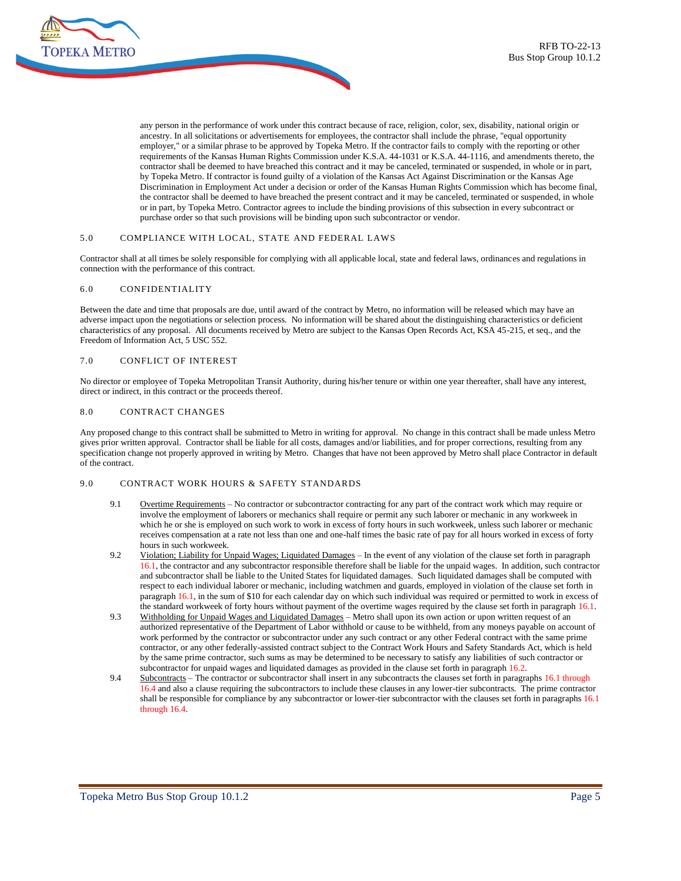

any person in the performance of work under this contract because of race, religion, color, sex, disability, national origin or ancestry. In all solicitations or advertisements for employees, the contractor shall include the phrase, "equal opportunity employer," or a similar phrase to be approved by Topeka Metro. If the contractor fails to comply with the reporting or other requirements of the Kansas Human Rights Commission under K.S.A. 44-1031 or K.S.A. 44-1116, and amendments thereto, the contractor shall be deemed to have breached this contract and it may be canceled, terminated or suspended, in whole or in part, by Topeka Metro. If contractor is found guilty of a violation of the Kansas Act Against Discrimination or the Kansas Age Discrimination in Employment Act under a decision or order of the Kansas Human Rights Commission which has become final, the contractor shall be deemed to have breached the present contract and it may be canceled, terminated or suspended, in whole or in part, by Topeka Metro. Contractor agrees to include the binding provisions of this subsection in every subcontract or purchase order so that such provisions will be binding upon such subcontractor or vendor.

#### 5.0 COMPLIANCE WITH LOCAL, STATE AND FEDERAL LAWS

Contractor shall at all times be solely responsible for complying with all applicable local, state and federal laws, ordinances and regulations in connection with the performance of this contract.

#### 6.0 CONFIDENTIALITY

Between the date and time that proposals are due, until award of the contract by Metro, no information will be released which may have an adverse impact upon the negotiations or selection process. No information will be shared about the distinguishing characteristics or deficient characteristics of any proposal. All documents received by Metro are subject to the Kansas Open Records Act, KSA 45-215, et seq., and the Freedom of Information Act, 5 USC 552.

#### 7.0 CONFLICT OF INTEREST

No director or employee of Topeka Metropolitan Transit Authority, during his/her tenure or within one year thereafter, shall have any interest, direct or indirect, in this contract or the proceeds thereof.

#### 8.0 CONTRACT CHANGES

Any proposed change to this contract shall be submitted to Metro in writing for approval. No change in this contract shall be made unless Metro gives prior written approval. Contractor shall be liable for all costs, damages and/or liabilities, and for proper corrections, resulting from any specification change not properly approved in writing by Metro. Changes that have not been approved by Metro shall place Contractor in default of the contract.

### 9.0 CONTRACT WORK HOURS & SAFETY STANDARDS

- 9.1 Overtime Requirements No contractor or subcontractor contracting for any part of the contract work which may require or involve the employment of laborers or mechanics shall require or permit any such laborer or mechanic in any workweek in which he or she is employed on such work to work in excess of forty hours in such workweek, unless such laborer or mechanic receives compensation at a rate not less than one and one-half times the basic rate of pay for all hours worked in excess of forty hours in such workweek.
- 9.2 Violation; Liability for Unpaid Wages; Liquidated Damages In the event of any violation of the clause set forth in paragraph 16.1, the contractor and any subcontractor responsible therefore shall be liable for the unpaid wages. In addition, such contractor and subcontractor shall be liable to the United States for liquidated damages. Such liquidated damages shall be computed with respect to each individual laborer or mechanic, including watchmen and guards, employed in violation of the clause set forth in paragraph 16.1, in the sum of \$10 for each calendar day on which such individual was required or permitted to work in excess of the standard workweek of forty hours without payment of the overtime wages required by the clause set forth in paragraph 16.1.
- 9.3 Withholding for Unpaid Wages and Liquidated Damages Metro shall upon its own action or upon written request of an authorized representative of the Department of Labor withhold or cause to be withheld, from any moneys payable on account of work performed by the contractor or subcontractor under any such contract or any other Federal contract with the same prime contractor, or any other federally-assisted contract subject to the Contract Work Hours and Safety Standards Act, which is held by the same prime contractor, such sums as may be determined to be necessary to satisfy any liabilities of such contractor or subcontractor for unpaid wages and liquidated damages as provided in the clause set forth in paragraph 16.2.
- 9.4 Subcontracts The contractor or subcontractor shall insert in any subcontracts the clauses set forth in paragraphs 16.1 through 16.4 and also a clause requiring the subcontractors to include these clauses in any lower-tier subcontracts. The prime contractor shall be responsible for compliance by any subcontractor or lower-tier subcontractor with the clauses set forth in paragraphs 16.1 through 16.4.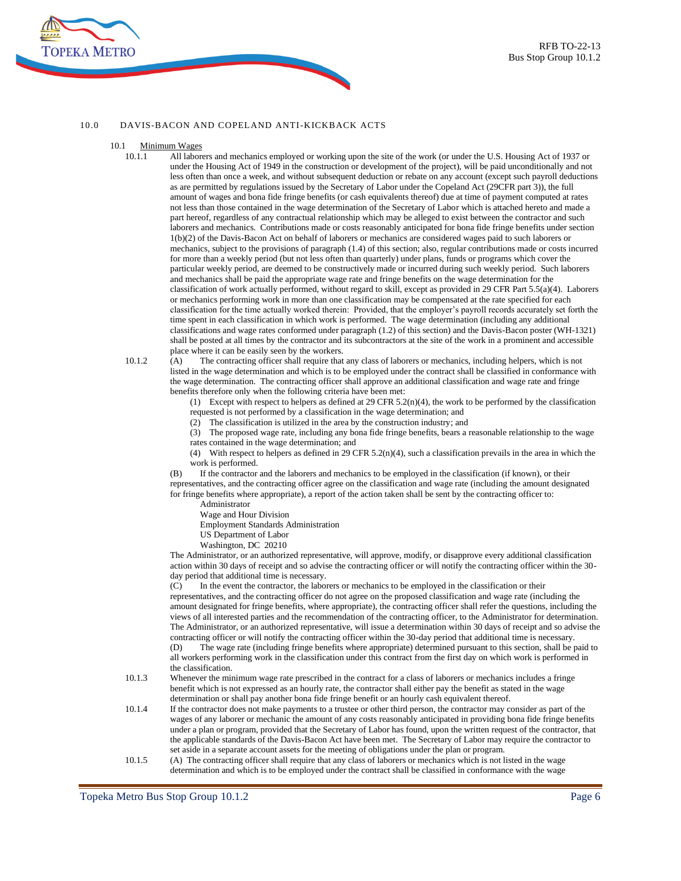

#### 10.0 DAVIS-BACON AND COPELAND ANTI-KICKBACK ACTS

#### 10.1 Minimum Wages

- 10.1.1 All laborers and mechanics employed or working upon the site of the work (or under the U.S. Housing Act of 1937 or under the Housing Act of 1949 in the construction or development of the project), will be paid unconditionally and not less often than once a week, and without subsequent deduction or rebate on any account (except such payroll deductions as are permitted by regulations issued by the Secretary of Labor under the Copeland Act (29CFR part 3)), the full amount of wages and bona fide fringe benefits (or cash equivalents thereof) due at time of payment computed at rates not less than those contained in the wage determination of the Secretary of Labor which is attached hereto and made a part hereof, regardless of any contractual relationship which may be alleged to exist between the contractor and such laborers and mechanics. Contributions made or costs reasonably anticipated for bona fide fringe benefits under section 1(b)(2) of the Davis-Bacon Act on behalf of laborers or mechanics are considered wages paid to such laborers or mechanics, subject to the provisions of paragraph (1.4) of this section; also, regular contributions made or costs incurred for more than a weekly period (but not less often than quarterly) under plans, funds or programs which cover the particular weekly period, are deemed to be constructively made or incurred during such weekly period. Such laborers and mechanics shall be paid the appropriate wage rate and fringe benefits on the wage determination for the classification of work actually performed, without regard to skill, except as provided in 29 CFR Part 5.5(a)(4). Laborers or mechanics performing work in more than one classification may be compensated at the rate specified for each classification for the time actually worked therein: Provided, that the employer's payroll records accurately set forth the time spent in each classification in which work is performed. The wage determination (including any additional classifications and wage rates conformed under paragraph (1.2) of this section) and the Davis-Bacon poster (WH-1321) shall be posted at all times by the contractor and its subcontractors at the site of the work in a prominent and accessible place where it can be easily seen by the workers.
- 10.1.2 (A) The contracting officer shall require that any class of laborers or mechanics, including helpers, which is not listed in the wage determination and which is to be employed under the contract shall be classified in conformance with the wage determination. The contracting officer shall approve an additional classification and wage rate and fringe benefits therefore only when the following criteria have been met:
	- (1) Except with respect to helpers as defined at 29 CFR 5.2(n)(4), the work to be performed by the classification requested is not performed by a classification in the wage determination; and
	- (2) The classification is utilized in the area by the construction industry; and
	- (3) The proposed wage rate, including any bona fide fringe benefits, bears a reasonable relationship to the wage rates contained in the wage determination; and

(4) With respect to helpers as defined in 29 CFR 5.2(n)(4), such a classification prevails in the area in which the work is performed.

(B) If the contractor and the laborers and mechanics to be employed in the classification (if known), or their representatives, and the contracting officer agree on the classification and wage rate (including the amount designated for fringe benefits where appropriate), a report of the action taken shall be sent by the contracting officer to:

Administrator

Wage and Hour Division

Employment Standards Administration

- US Department of Labor
- Washington, DC 20210

The Administrator, or an authorized representative, will approve, modify, or disapprove every additional classification action within 30 days of receipt and so advise the contracting officer or will notify the contracting officer within the 30 day period that additional time is necessary.

(C) In the event the contractor, the laborers or mechanics to be employed in the classification or their representatives, and the contracting officer do not agree on the proposed classification and wage rate (including the amount designated for fringe benefits, where appropriate), the contracting officer shall refer the questions, including the views of all interested parties and the recommendation of the contracting officer, to the Administrator for determination. The Administrator, or an authorized representative, will issue a determination within 30 days of receipt and so advise the contracting officer or will notify the contracting officer within the 30-day period that additional time is necessary.

(D) The wage rate (including fringe benefits where appropriate) determined pursuant to this section, shall be paid to all workers performing work in the classification under this contract from the first day on which work is performed in the classification.

- 10.1.3 Whenever the minimum wage rate prescribed in the contract for a class of laborers or mechanics includes a fringe benefit which is not expressed as an hourly rate, the contractor shall either pay the benefit as stated in the wage determination or shall pay another bona fide fringe benefit or an hourly cash equivalent thereof.
- 10.1.4 If the contractor does not make payments to a trustee or other third person, the contractor may consider as part of the wages of any laborer or mechanic the amount of any costs reasonably anticipated in providing bona fide fringe benefits under a plan or program, provided that the Secretary of Labor has found, upon the written request of the contractor, that the applicable standards of the Davis-Bacon Act have been met. The Secretary of Labor may require the contractor to set aside in a separate account assets for the meeting of obligations under the plan or program.
- 10.1.5 (A) The contracting officer shall require that any class of laborers or mechanics which is not listed in the wage determination and which is to be employed under the contract shall be classified in conformance with the wage

Topeka Metro Bus Stop Group 10.1.2 Page 6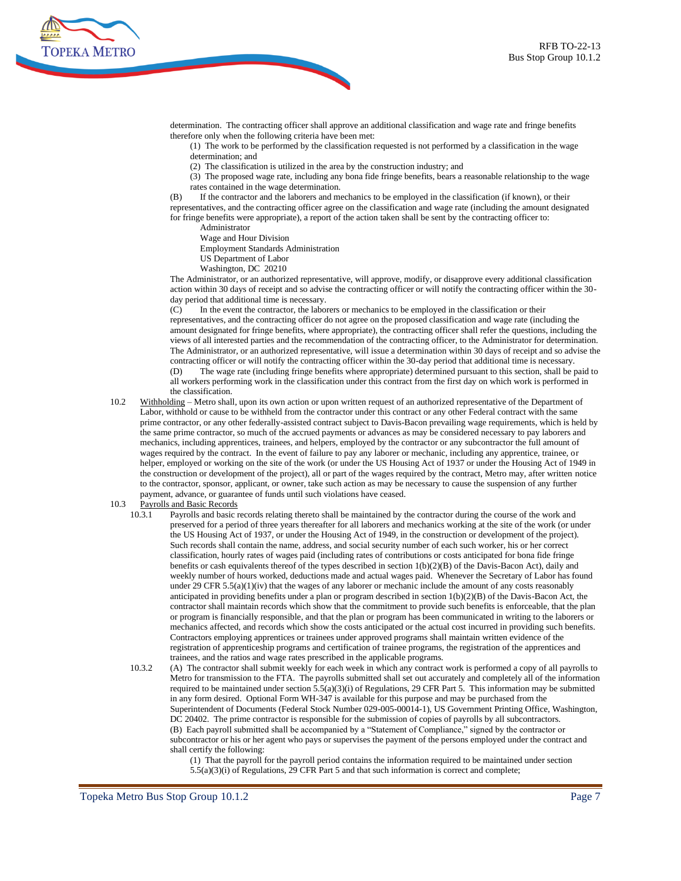

determination. The contracting officer shall approve an additional classification and wage rate and fringe benefits therefore only when the following criteria have been met:

(1) The work to be performed by the classification requested is not performed by a classification in the wage determination; and

(2) The classification is utilized in the area by the construction industry; and

(3) The proposed wage rate, including any bona fide fringe benefits, bears a reasonable relationship to the wage rates contained in the wage determination.

(B) If the contractor and the laborers and mechanics to be employed in the classification (if known), or their representatives, and the contracting officer agree on the classification and wage rate (including the amount designated for fringe benefits were appropriate), a report of the action taken shall be sent by the contracting officer to:

Administrator

Wage and Hour Division

Employment Standards Administration

US Department of Labor

Washington, DC 20210

The Administrator, or an authorized representative, will approve, modify, or disapprove every additional classification action within 30 days of receipt and so advise the contracting officer or will notify the contracting officer within the 30 day period that additional time is necessary.

(C) In the event the contractor, the laborers or mechanics to be employed in the classification or their representatives, and the contracting officer do not agree on the proposed classification and wage rate (including the amount designated for fringe benefits, where appropriate), the contracting officer shall refer the questions, including the views of all interested parties and the recommendation of the contracting officer, to the Administrator for determination. The Administrator, or an authorized representative, will issue a determination within 30 days of receipt and so advise the contracting officer or will notify the contracting officer within the 30-day period that additional time is necessary.

(D) The wage rate (including fringe benefits where appropriate) determined pursuant to this section, shall be paid to all workers performing work in the classification under this contract from the first day on which work is performed in the classification.

- 10.2 Withholding Metro shall, upon its own action or upon written request of an authorized representative of the Department of Labor, withhold or cause to be withheld from the contractor under this contract or any other Federal contract with the same prime contractor, or any other federally-assisted contract subject to Davis-Bacon prevailing wage requirements, which is held by the same prime contractor, so much of the accrued payments or advances as may be considered necessary to pay laborers and mechanics, including apprentices, trainees, and helpers, employed by the contractor or any subcontractor the full amount of wages required by the contract. In the event of failure to pay any laborer or mechanic, including any apprentice, trainee, or helper, employed or working on the site of the work (or under the US Housing Act of 1937 or under the Housing Act of 1949 in the construction or development of the project), all or part of the wages required by the contract, Metro may, after written notice to the contractor, sponsor, applicant, or owner, take such action as may be necessary to cause the suspension of any further payment, advance, or guarantee of funds until such violations have ceased.
- 10.3 Payrolls and Basic Records<br>10.3.1 Payrolls and basic
	- Payrolls and basic records relating thereto shall be maintained by the contractor during the course of the work and preserved for a period of three years thereafter for all laborers and mechanics working at the site of the work (or under the US Housing Act of 1937, or under the Housing Act of 1949, in the construction or development of the project). Such records shall contain the name, address, and social security number of each such worker, his or her correct classification, hourly rates of wages paid (including rates of contributions or costs anticipated for bona fide fringe benefits or cash equivalents thereof of the types described in section 1(b)(2)(B) of the Davis-Bacon Act), daily and weekly number of hours worked, deductions made and actual wages paid. Whenever the Secretary of Labor has found under 29 CFR 5.5(a)(1)(iv) that the wages of any laborer or mechanic include the amount of any costs reasonably anticipated in providing benefits under a plan or program described in section  $1(b)(2)(B)$  of the Davis-Bacon Act, the contractor shall maintain records which show that the commitment to provide such benefits is enforceable, that the plan or program is financially responsible, and that the plan or program has been communicated in writing to the laborers or mechanics affected, and records which show the costs anticipated or the actual cost incurred in providing such benefits. Contractors employing apprentices or trainees under approved programs shall maintain written evidence of the registration of apprenticeship programs and certification of trainee programs, the registration of the apprentices and trainees, and the ratios and wage rates prescribed in the applicable programs.
	- 10.3.2 (A) The contractor shall submit weekly for each week in which any contract work is performed a copy of all payrolls to Metro for transmission to the FTA. The payrolls submitted shall set out accurately and completely all of the information required to be maintained under section  $5.5(a)(3)(i)$  of Regulations, 29 CFR Part 5. This information may be submitted in any form desired. Optional Form WH-347 is available for this purpose and may be purchased from the Superintendent of Documents (Federal Stock Number 029-005-00014-1), US Government Printing Office, Washington, DC 20402. The prime contractor is responsible for the submission of copies of payrolls by all subcontractors. (B) Each payroll submitted shall be accompanied by a "Statement of Compliance," signed by the contractor or subcontractor or his or her agent who pays or supervises the payment of the persons employed under the contract and shall certify the following:

(1) That the payroll for the payroll period contains the information required to be maintained under section 5.5(a)(3)(i) of Regulations, 29 CFR Part 5 and that such information is correct and complete;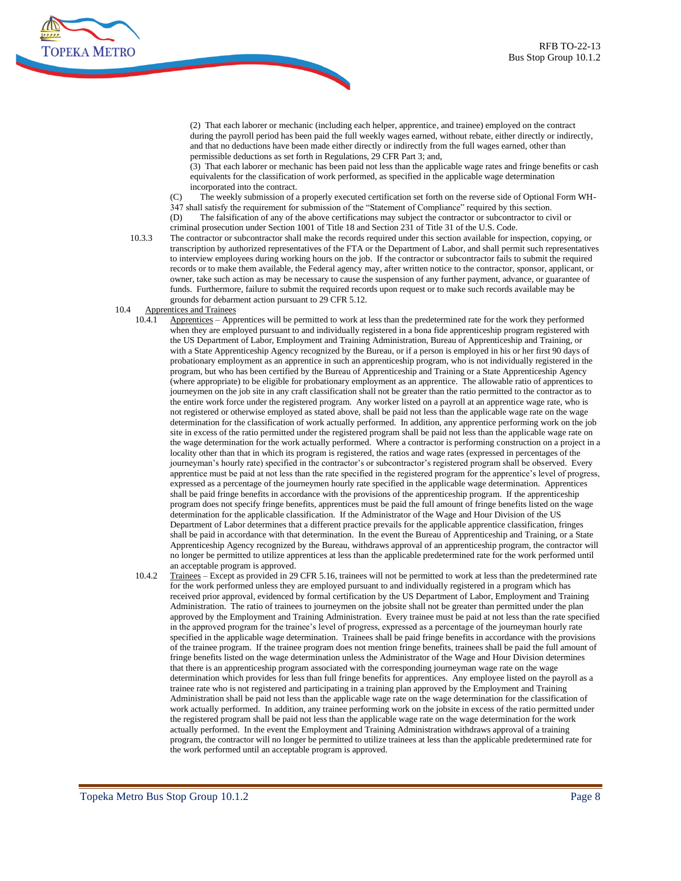

(2) That each laborer or mechanic (including each helper, apprentice, and trainee) employed on the contract during the payroll period has been paid the full weekly wages earned, without rebate, either directly or indirectly, and that no deductions have been made either directly or indirectly from the full wages earned, other than permissible deductions as set forth in Regulations, 29 CFR Part 3; and,

(3) That each laborer or mechanic has been paid not less than the applicable wage rates and fringe benefits or cash equivalents for the classification of work performed, as specified in the applicable wage determination incorporated into the contract.

(C) The weekly submission of a properly executed certification set forth on the reverse side of Optional Form WH-347 shall satisfy the requirement for submission of the "Statement of Compliance" required by this section.

(D) The falsification of any of the above certifications may subject the contractor or subcontractor to civil or criminal prosecution under Section 1001 of Title 18 and Section 231 of Title 31 of the U.S. Code.

10.3.3 The contractor or subcontractor shall make the records required under this section available for inspection, copying, or transcription by authorized representatives of the FTA or the Department of Labor, and shall permit such representatives to interview employees during working hours on the job. If the contractor or subcontractor fails to submit the required records or to make them available, the Federal agency may, after written notice to the contractor, sponsor, applicant, or owner, take such action as may be necessary to cause the suspension of any further payment, advance, or guarantee of funds. Furthermore, failure to submit the required records upon request or to make such records available may be grounds for debarment action pursuant to 29 CFR 5.12.

10.4 Apprentices and Trainees<br>10.4.1 Apprentices – App

10.4.1 Apprentices – Apprentices will be permitted to work at less than the predetermined rate for the work they performed when they are employed pursuant to and individually registered in a bona fide apprenticeship program registered with the US Department of Labor, Employment and Training Administration, Bureau of Apprenticeship and Training, or with a State Apprenticeship Agency recognized by the Bureau, or if a person is employed in his or her first 90 days of probationary employment as an apprentice in such an apprenticeship program, who is not individually registered in the program, but who has been certified by the Bureau of Apprenticeship and Training or a State Apprenticeship Agency (where appropriate) to be eligible for probationary employment as an apprentice. The allowable ratio of apprentices to journeymen on the job site in any craft classification shall not be greater than the ratio permitted to the contractor as to the entire work force under the registered program. Any worker listed on a payroll at an apprentice wage rate, who is not registered or otherwise employed as stated above, shall be paid not less than the applicable wage rate on the wage determination for the classification of work actually performed. In addition, any apprentice performing work on the job site in excess of the ratio permitted under the registered program shall be paid not less than the applicable wage rate on the wage determination for the work actually performed. Where a contractor is performing construction on a project in a locality other than that in which its program is registered, the ratios and wage rates (expressed in percentages of the journeyman's hourly rate) specified in the contractor's or subcontractor's registered program shall be observed. Every apprentice must be paid at not less than the rate specified in the registered program for the apprentice's level of progress, expressed as a percentage of the journeymen hourly rate specified in the applicable wage determination. Apprentices shall be paid fringe benefits in accordance with the provisions of the apprenticeship program. If the apprenticeship program does not specify fringe benefits, apprentices must be paid the full amount of fringe benefits listed on the wage determination for the applicable classification. If the Administrator of the Wage and Hour Division of the US Department of Labor determines that a different practice prevails for the applicable apprentice classification, fringes shall be paid in accordance with that determination. In the event the Bureau of Apprenticeship and Training, or a State Apprenticeship Agency recognized by the Bureau, withdraws approval of an apprenticeship program, the contractor will no longer be permitted to utilize apprentices at less than the applicable predetermined rate for the work performed until an acceptable program is approved.

10.4.2 Trainees – Except as provided in 29 CFR 5.16, trainees will not be permitted to work at less than the predetermined rate for the work performed unless they are employed pursuant to and individually registered in a program which has received prior approval, evidenced by formal certification by the US Department of Labor, Employment and Training Administration. The ratio of trainees to journeymen on the jobsite shall not be greater than permitted under the plan approved by the Employment and Training Administration. Every trainee must be paid at not less than the rate specified in the approved program for the trainee's level of progress, expressed as a percentage of the journeyman hourly rate specified in the applicable wage determination. Trainees shall be paid fringe benefits in accordance with the provisions of the trainee program. If the trainee program does not mention fringe benefits, trainees shall be paid the full amount of fringe benefits listed on the wage determination unless the Administrator of the Wage and Hour Division determines that there is an apprenticeship program associated with the corresponding journeyman wage rate on the wage determination which provides for less than full fringe benefits for apprentices. Any employee listed on the payroll as a trainee rate who is not registered and participating in a training plan approved by the Employment and Training Administration shall be paid not less than the applicable wage rate on the wage determination for the classification of work actually performed. In addition, any trainee performing work on the jobsite in excess of the ratio permitted under the registered program shall be paid not less than the applicable wage rate on the wage determination for the work actually performed. In the event the Employment and Training Administration withdraws approval of a training program, the contractor will no longer be permitted to utilize trainees at less than the applicable predetermined rate for the work performed until an acceptable program is approved.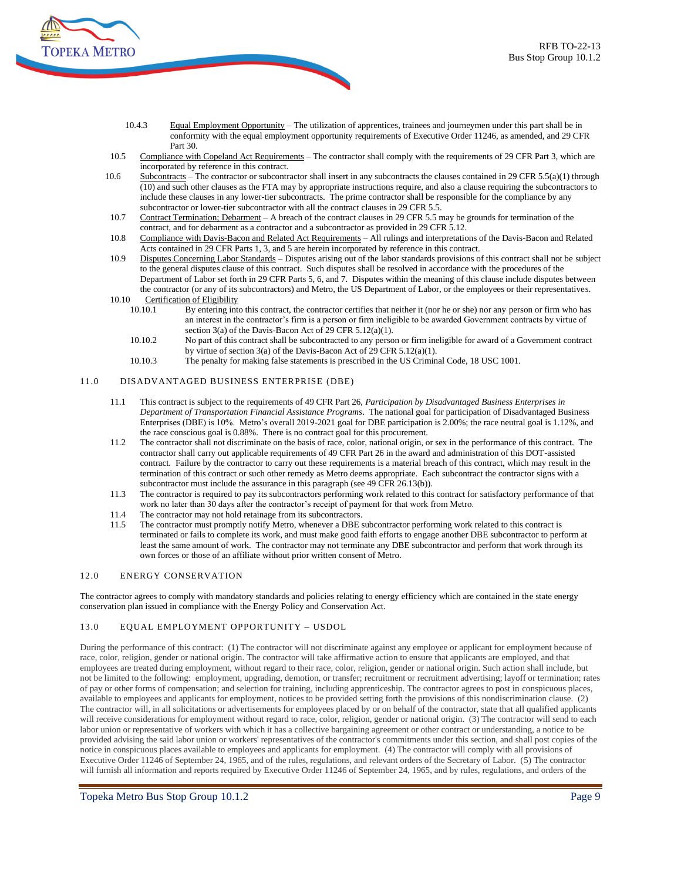

- 10.4.3 Equal Employment Opportunity The utilization of apprentices, trainees and journeymen under this part shall be in conformity with the equal employment opportunity requirements of Executive Order 11246, as amended, and 29 CFR Part 30
- 10.5 Compliance with Copeland Act Requirements The contractor shall comply with the requirements of 29 CFR Part 3, which are incorporated by reference in this contract.
- 10.6 Subcontracts The contractor or subcontractor shall insert in any subcontracts the clauses contained in 29 CFR 5.5(a)(1) through (10) and such other clauses as the FTA may by appropriate instructions require, and also a clause requiring the subcontractors to include these clauses in any lower-tier subcontracts. The prime contractor shall be responsible for the compliance by any subcontractor or lower-tier subcontractor with all the contract clauses in 29 CFR 5.5.
- 10.7 Contract Termination; Debarment A breach of the contract clauses in 29 CFR 5.5 may be grounds for termination of the contract, and for debarment as a contractor and a subcontractor as provided in 29 CFR 5.12.
- 10.8 Compliance with Davis-Bacon and Related Act Requirements All rulings and interpretations of the Davis-Bacon and Related Acts contained in 29 CFR Parts 1, 3, and 5 are herein incorporated by reference in this contract.
- 10.9 Disputes Concerning Labor Standards Disputes arising out of the labor standards provisions of this contract shall not be subject to the general disputes clause of this contract. Such disputes shall be resolved in accordance with the procedures of the Department of Labor set forth in 29 CFR Parts 5, 6, and 7. Disputes within the meaning of this clause include disputes between the contractor (or any of its subcontractors) and Metro, the US Department of Labor, or the employees or their representatives. 10.10 Certification of Eligibility
	- 10.10.1 By entering into this contract, the contractor certifies that neither it (nor he or she) nor any person or firm who has an interest in the contractor's firm is a person or firm ineligible to be awarded Government contracts by virtue of section 3(a) of the Davis-Bacon Act of 29 CFR 5.12(a)(1).
	- 10.10.2 No part of this contract shall be subcontracted to any person or firm ineligible for award of a Government contract by virtue of section 3(a) of the Davis-Bacon Act of 29 CFR 5.12(a)(1).
	- 10.10.3 The penalty for making false statements is prescribed in the US Criminal Code, 18 USC 1001.

### 11.0 DISADVANTAGED BUSINESS ENTERPRISE (DBE)

- 11.1 This contract is subject to the requirements of 49 CFR Part 26, *Participation by Disadvantaged Business Enterprises in Department of Transportation Financial Assistance Programs*. The national goal for participation of Disadvantaged Business Enterprises (DBE) is 10%. Metro's overall 2019-2021 goal for DBE participation is 2.00%; the race neutral goal is 1.12%, and the race conscious goal is 0.88%. There is no contract goal for this procurement.
- 11.2 The contractor shall not discriminate on the basis of race, color, national origin, or sex in the performance of this contract. The contractor shall carry out applicable requirements of 49 CFR Part 26 in the award and administration of this DOT-assisted contract. Failure by the contractor to carry out these requirements is a material breach of this contract, which may result in the termination of this contract or such other remedy as Metro deems appropriate. Each subcontract the contractor signs with a subcontractor must include the assurance in this paragraph (see 49 CFR 26.13(b)).
- 11.3 The contractor is required to pay its subcontractors performing work related to this contract for satisfactory performance of that work no later than 30 days after the contractor's receipt of payment for that work from Metro.
- 11.4 The contractor may not hold retainage from its subcontractors.
- 11.5 The contractor must promptly notify Metro, whenever a DBE subcontractor performing work related to this contract is terminated or fails to complete its work, and must make good faith efforts to engage another DBE subcontractor to perform at least the same amount of work. The contractor may not terminate any DBE subcontractor and perform that work through its own forces or those of an affiliate without prior written consent of Metro.

#### 12.0 ENERGY CONSERVATION

The contractor agrees to comply with mandatory standards and policies relating to energy efficiency which are contained in the state energy conservation plan issued in compliance with the Energy Policy and Conservation Act.

#### 13.0 EQUAL EMPLOYMENT OPPORTUNITY – USDOL

During the performance of this contract: (1) The contractor will not discriminate against any employee or applicant for employment because of race, color, religion, gender or national origin. The contractor will take affirmative action to ensure that applicants are employed, and that employees are treated during employment, without regard to their race, color, religion, gender or national origin. Such action shall include, but not be limited to the following: employment, upgrading, demotion, or transfer; recruitment or recruitment advertising; layoff or termination; rates of pay or other forms of compensation; and selection for training, including apprenticeship. The contractor agrees to post in conspicuous places, available to employees and applicants for employment, notices to be provided setting forth the provisions of this nondiscrimination clause. (2) The contractor will, in all solicitations or advertisements for employees placed by or on behalf of the contractor, state that all qualified applicants will receive considerations for employment without regard to race, color, religion, gender or national origin. (3) The contractor will send to each labor union or representative of workers with which it has a collective bargaining agreement or other contract or understanding, a notice to be provided advising the said labor union or workers' representatives of the contractor's commitments under this section, and shall post copies of the notice in conspicuous places available to employees and applicants for employment. (4) The contractor will comply with all provisions of Executive Order 11246 of September 24, 1965, and of the rules, regulations, and relevant orders of the Secretary of Labor. (5) The contractor will furnish all information and reports required by Executive Order 11246 of September 24, 1965, and by rules, regulations, and orders of the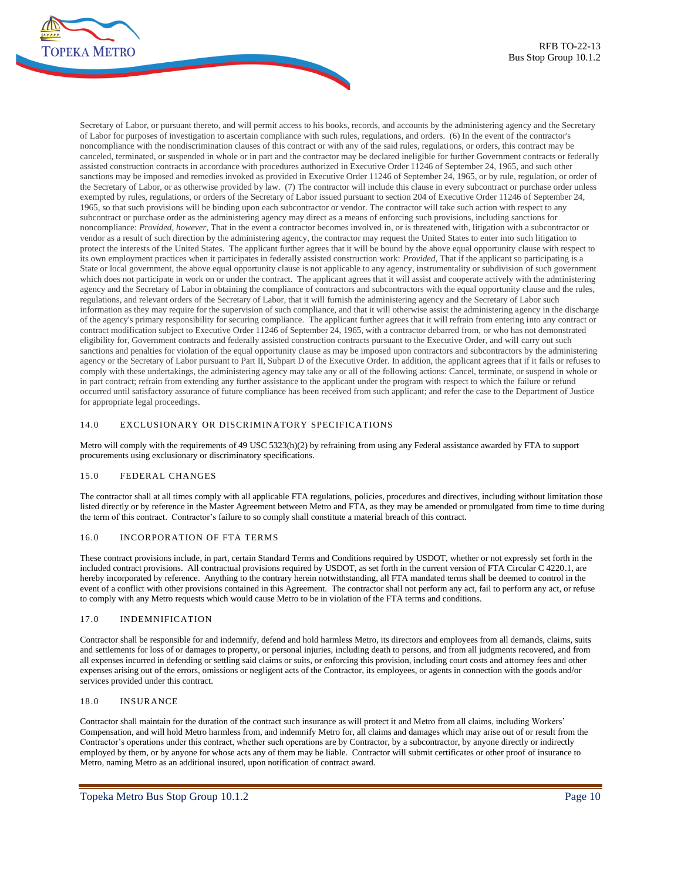

Secretary of Labor, or pursuant thereto, and will permit access to his books, records, and accounts by the administering agency and the Secretary of Labor for purposes of investigation to ascertain compliance with such rules, regulations, and orders. (6) In the event of the contractor's noncompliance with the nondiscrimination clauses of this contract or with any of the said rules, regulations, or orders, this contract may be canceled, terminated, or suspended in whole or in part and the contractor may be declared ineligible for further Government contracts or federally assisted construction contracts in accordance with procedures authorized in Executive Order 11246 of September 24, 1965, and such other sanctions may be imposed and remedies invoked as provided in Executive Order 11246 of September 24, 1965, or by rule, regulation, or order of the Secretary of Labor, or as otherwise provided by law. (7) The contractor will include this clause in every subcontract or purchase order unless exempted by rules, regulations, or orders of the Secretary of Labor issued pursuant to section 204 of Executive Order 11246 of September 24, 1965, so that such provisions will be binding upon each subcontractor or vendor. The contractor will take such action with respect to any subcontract or purchase order as the administering agency may direct as a means of enforcing such provisions, including sanctions for noncompliance: *Provided, however,* That in the event a contractor becomes involved in, or is threatened with, litigation with a subcontractor or vendor as a result of such direction by the administering agency, the contractor may request the United States to enter into such litigation to protect the interests of the United States. The applicant further agrees that it will be bound by the above equal opportunity clause with respect to its own employment practices when it participates in federally assisted construction work: *Provided,* That if the applicant so participating is a State or local government, the above equal opportunity clause is not applicable to any agency, instrumentality or subdivision of such government which does not participate in work on or under the contract. The applicant agrees that it will assist and cooperate actively with the administering agency and the Secretary of Labor in obtaining the compliance of contractors and subcontractors with the equal opportunity clause and the rules, regulations, and relevant orders of the Secretary of Labor, that it will furnish the administering agency and the Secretary of Labor such information as they may require for the supervision of such compliance, and that it will otherwise assist the administering agency in the discharge of the agency's primary responsibility for securing compliance. The applicant further agrees that it will refrain from entering into any contract or contract modification subject to Executive Order 11246 of September 24, 1965, with a contractor debarred from, or who has not demonstrated eligibility for, Government contracts and federally assisted construction contracts pursuant to the Executive Order, and will carry out such sanctions and penalties for violation of the equal opportunity clause as may be imposed upon contractors and subcontractors by the administering agency or the Secretary of Labor pursuant to Part II, Subpart D of the Executive Order. In addition, the applicant agrees that if it fails or refuses to comply with these undertakings, the administering agency may take any or all of the following actions: Cancel, terminate, or suspend in whole or in part contract; refrain from extending any further assistance to the applicant under the program with respect to which the failure or refund occurred until satisfactory assurance of future compliance has been received from such applicant; and refer the case to the Department of Justice for appropriate legal proceedings.

### 14.0 EXCLUSIONARY OR DISCRIMINATORY SPECIFICATIONS

Metro will comply with the requirements of 49 USC 5323(h)(2) by refraining from using any Federal assistance awarded by FTA to support procurements using exclusionary or discriminatory specifications.

### 15.0 FEDERAL CHANGES

The contractor shall at all times comply with all applicable FTA regulations, policies, procedures and directives, including without limitation those listed directly or by reference in the Master Agreement between Metro and FTA, as they may be amended or promulgated from time to time during the term of this contract. Contractor's failure to so comply shall constitute a material breach of this contract.

#### 16.0 INCORPORATION OF FTA TERMS

These contract provisions include, in part, certain Standard Terms and Conditions required by USDOT, whether or not expressly set forth in the included contract provisions. All contractual provisions required by USDOT, as set forth in the current version of FTA Circular C 4220.1, are hereby incorporated by reference. Anything to the contrary herein notwithstanding, all FTA mandated terms shall be deemed to control in the event of a conflict with other provisions contained in this Agreement. The contractor shall not perform any act, fail to perform any act, or refuse to comply with any Metro requests which would cause Metro to be in violation of the FTA terms and conditions.

### 17.0 INDEMNIFICATION

Contractor shall be responsible for and indemnify, defend and hold harmless Metro, its directors and employees from all demands, claims, suits and settlements for loss of or damages to property, or personal injuries, including death to persons, and from all judgments recovered, and from all expenses incurred in defending or settling said claims or suits, or enforcing this provision, including court costs and attorney fees and other expenses arising out of the errors, omissions or negligent acts of the Contractor, its employees, or agents in connection with the goods and/or services provided under this contract.

#### 18.0 INSURANCE

Contractor shall maintain for the duration of the contract such insurance as will protect it and Metro from all claims, including Workers' Compensation, and will hold Metro harmless from, and indemnify Metro for, all claims and damages which may arise out of or result from the Contractor's operations under this contract, whether such operations are by Contractor, by a subcontractor, by anyone directly or indirectly employed by them, or by anyone for whose acts any of them may be liable. Contractor will submit certificates or other proof of insurance to Metro, naming Metro as an additional insured, upon notification of contract award.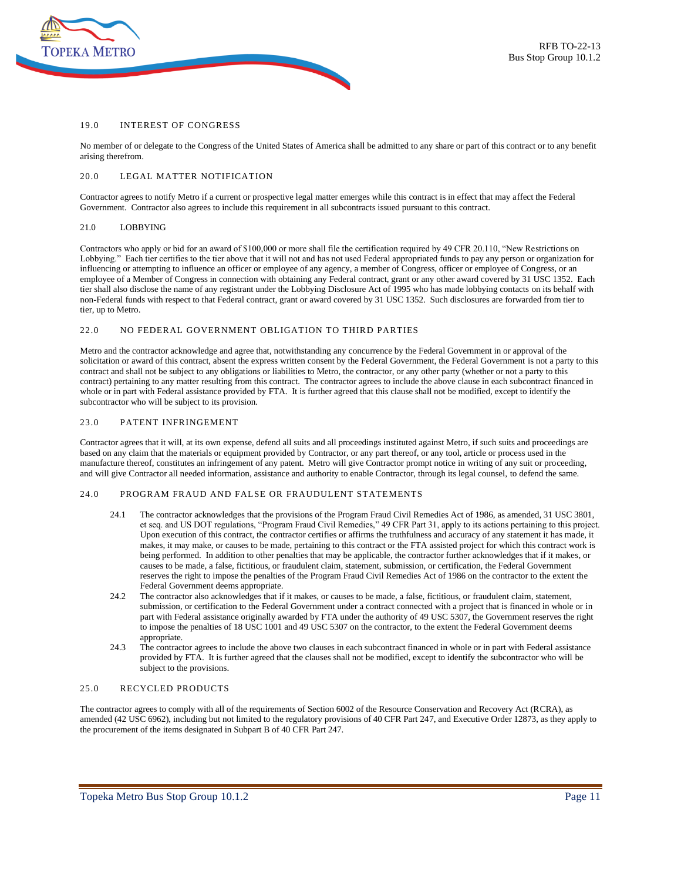

#### 19.0 INTEREST OF CONGRESS

No member of or delegate to the Congress of the United States of America shall be admitted to any share or part of this contract or to any benefit arising therefrom.

### 20.0 LEGAL MATTER NOTIFICATION

Contractor agrees to notify Metro if a current or prospective legal matter emerges while this contract is in effect that may affect the Federal Government. Contractor also agrees to include this requirement in all subcontracts issued pursuant to this contract.

#### 21.0 LOBBYING

Contractors who apply or bid for an award of \$100,000 or more shall file the certification required by 49 CFR 20.110, "New Restrictions on Lobbying." Each tier certifies to the tier above that it will not and has not used Federal appropriated funds to pay any person or organization for influencing or attempting to influence an officer or employee of any agency, a member of Congress, officer or employee of Congress, or an employee of a Member of Congress in connection with obtaining any Federal contract, grant or any other award covered by 31 USC 1352. Each tier shall also disclose the name of any registrant under the Lobbying Disclosure Act of 1995 who has made lobbying contacts on its behalf with non-Federal funds with respect to that Federal contract, grant or award covered by 31 USC 1352. Such disclosures are forwarded from tier to tier, up to Metro.

### 22.0 NO FEDERAL GOVERNMENT OBLIGATION TO THIRD PARTIES

Metro and the contractor acknowledge and agree that, notwithstanding any concurrence by the Federal Government in or approval of the solicitation or award of this contract, absent the express written consent by the Federal Government, the Federal Government is not a party to this contract and shall not be subject to any obligations or liabilities to Metro, the contractor, or any other party (whether or not a party to this contract) pertaining to any matter resulting from this contract. The contractor agrees to include the above clause in each subcontract financed in whole or in part with Federal assistance provided by FTA. It is further agreed that this clause shall not be modified, except to identify the subcontractor who will be subject to its provision.

#### 23.0 PATENT INFRINGEMENT

Contractor agrees that it will, at its own expense, defend all suits and all proceedings instituted against Metro, if such suits and proceedings are based on any claim that the materials or equipment provided by Contractor, or any part thereof, or any tool, article or process used in the manufacture thereof, constitutes an infringement of any patent. Metro will give Contractor prompt notice in writing of any suit or proceeding, and will give Contractor all needed information, assistance and authority to enable Contractor, through its legal counsel, to defend the same.

### 24.0 PROGRAM FRAUD AND FALSE OR FRAUDULENT STATEMENTS

- 24.1 The contractor acknowledges that the provisions of the Program Fraud Civil Remedies Act of 1986, as amended, 31 USC 3801, et seq. and US DOT regulations, "Program Fraud Civil Remedies," 49 CFR Part 31, apply to its actions pertaining to this project. Upon execution of this contract, the contractor certifies or affirms the truthfulness and accuracy of any statement it has made, it makes, it may make, or causes to be made, pertaining to this contract or the FTA assisted project for which this contract work is being performed. In addition to other penalties that may be applicable, the contractor further acknowledges that if it makes, or causes to be made, a false, fictitious, or fraudulent claim, statement, submission, or certification, the Federal Government reserves the right to impose the penalties of the Program Fraud Civil Remedies Act of 1986 on the contractor to the extent the Federal Government deems appropriate.
- 24.2 The contractor also acknowledges that if it makes, or causes to be made, a false, fictitious, or fraudulent claim, statement, submission, or certification to the Federal Government under a contract connected with a project that is financed in whole or in part with Federal assistance originally awarded by FTA under the authority of 49 USC 5307, the Government reserves the right to impose the penalties of 18 USC 1001 and 49 USC 5307 on the contractor, to the extent the Federal Government deems appropriate.
- 24.3 The contractor agrees to include the above two clauses in each subcontract financed in whole or in part with Federal assistance provided by FTA. It is further agreed that the clauses shall not be modified, except to identify the subcontractor who will be subject to the provisions.

#### 25.0 RECYCLED PRODUCTS

The contractor agrees to comply with all of the requirements of Section 6002 of the Resource Conservation and Recovery Act (RCRA), as amended (42 USC 6962), including but not limited to the regulatory provisions of 40 CFR Part 247, and Executive Order 12873, as they apply to the procurement of the items designated in Subpart B of 40 CFR Part 247.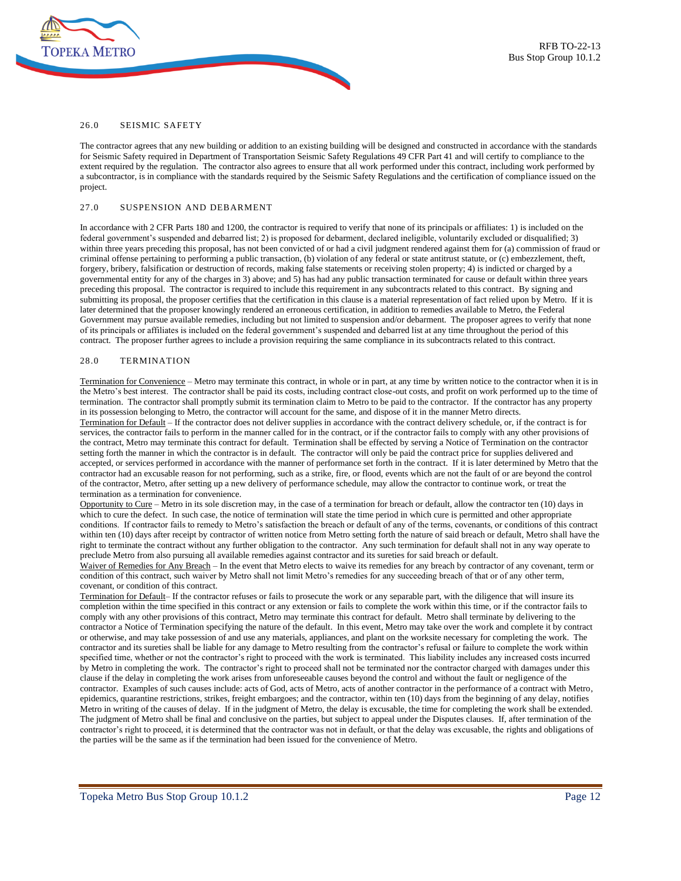

#### 26.0 SEISMIC SAFETY

The contractor agrees that any new building or addition to an existing building will be designed and constructed in accordance with the standards for Seismic Safety required in Department of Transportation Seismic Safety Regulations 49 CFR Part 41 and will certify to compliance to the extent required by the regulation. The contractor also agrees to ensure that all work performed under this contract, including work performed by a subcontractor, is in compliance with the standards required by the Seismic Safety Regulations and the certification of compliance issued on the project.

### 27.0 SUSPENSION AND DEBARMENT

In accordance with 2 CFR Parts 180 and 1200, the contractor is required to verify that none of its principals or affiliates: 1) is included on the federal government's suspended and debarred list; 2) is proposed for debarment, declared ineligible, voluntarily excluded or disqualified; 3) within three years preceding this proposal, has not been convicted of or had a civil judgment rendered against them for (a) commission of fraud or criminal offense pertaining to performing a public transaction, (b) violation of any federal or state antitrust statute, or (c) embezzlement, theft, forgery, bribery, falsification or destruction of records, making false statements or receiving stolen property; 4) is indicted or charged by a governmental entity for any of the charges in 3) above; and 5) has had any public transaction terminated for cause or default within three years preceding this proposal. The contractor is required to include this requirement in any subcontracts related to this contract. By signing and submitting its proposal, the proposer certifies that the certification in this clause is a material representation of fact relied upon by Metro. If it is later determined that the proposer knowingly rendered an erroneous certification, in addition to remedies available to Metro, the Federal Government may pursue available remedies, including but not limited to suspension and/or debarment. The proposer agrees to verify that none of its principals or affiliates is included on the federal government's suspended and debarred list at any time throughout the period of this contract. The proposer further agrees to include a provision requiring the same compliance in its subcontracts related to this contract.

#### 28.0 TERMINATION

Termination for Convenience – Metro may terminate this contract, in whole or in part, at any time by written notice to the contractor when it is in the Metro's best interest. The contractor shall be paid its costs, including contract close-out costs, and profit on work performed up to the time of termination. The contractor shall promptly submit its termination claim to Metro to be paid to the contractor. If the contractor has any property in its possession belonging to Metro, the contractor will account for the same, and dispose of it in the manner Metro directs.

Termination for Default – If the contractor does not deliver supplies in accordance with the contract delivery schedule, or, if the contract is for services, the contractor fails to perform in the manner called for in the contract, or if the contractor fails to comply with any other provisions of the contract, Metro may terminate this contract for default. Termination shall be effected by serving a Notice of Termination on the contractor setting forth the manner in which the contractor is in default. The contractor will only be paid the contract price for supplies delivered and accepted, or services performed in accordance with the manner of performance set forth in the contract. If it is later determined by Metro that the contractor had an excusable reason for not performing, such as a strike, fire, or flood, events which are not the fault of or are beyond the control of the contractor, Metro, after setting up a new delivery of performance schedule, may allow the contractor to continue work, or treat the termination as a termination for convenience.

Opportunity to Cure – Metro in its sole discretion may, in the case of a termination for breach or default, allow the contractor ten (10) days in which to cure the defect. In such case, the notice of termination will state the time period in which cure is permitted and other appropriate conditions. If contractor fails to remedy to Metro's satisfaction the breach or default of any of the terms, covenants, or conditions of this contract within ten (10) days after receipt by contractor of written notice from Metro setting forth the nature of said breach or default, Metro shall have the right to terminate the contract without any further obligation to the contractor. Any such termination for default shall not in any way operate to preclude Metro from also pursuing all available remedies against contractor and its sureties for said breach or default.

Waiver of Remedies for Any Breach – In the event that Metro elects to waive its remedies for any breach by contractor of any covenant, term or condition of this contract, such waiver by Metro shall not limit Metro's remedies for any succeeding breach of that or of any other term, covenant, or condition of this contract.

Termination for Default– If the contractor refuses or fails to prosecute the work or any separable part, with the diligence that will insure its completion within the time specified in this contract or any extension or fails to complete the work within this time, or if the contractor fails to comply with any other provisions of this contract, Metro may terminate this contract for default. Metro shall terminate by delivering to the contractor a Notice of Termination specifying the nature of the default. In this event, Metro may take over the work and complete it by contract or otherwise, and may take possession of and use any materials, appliances, and plant on the worksite necessary for completing the work. The contractor and its sureties shall be liable for any damage to Metro resulting from the contractor's refusal or failure to complete the work within specified time, whether or not the contractor's right to proceed with the work is terminated. This liability includes any increased costs incurred by Metro in completing the work. The contractor's right to proceed shall not be terminated nor the contractor charged with damages under this clause if the delay in completing the work arises from unforeseeable causes beyond the control and without the fault or negligence of the contractor. Examples of such causes include: acts of God, acts of Metro, acts of another contractor in the performance of a contract with Metro, epidemics, quarantine restrictions, strikes, freight embargoes; and the contractor, within ten (10) days from the beginning of any delay, notifies Metro in writing of the causes of delay. If in the judgment of Metro, the delay is excusable, the time for completing the work shall be extended. The judgment of Metro shall be final and conclusive on the parties, but subject to appeal under the Disputes clauses. If, after termination of the contractor's right to proceed, it is determined that the contractor was not in default, or that the delay was excusable, the rights and obligations of the parties will be the same as if the termination had been issued for the convenience of Metro.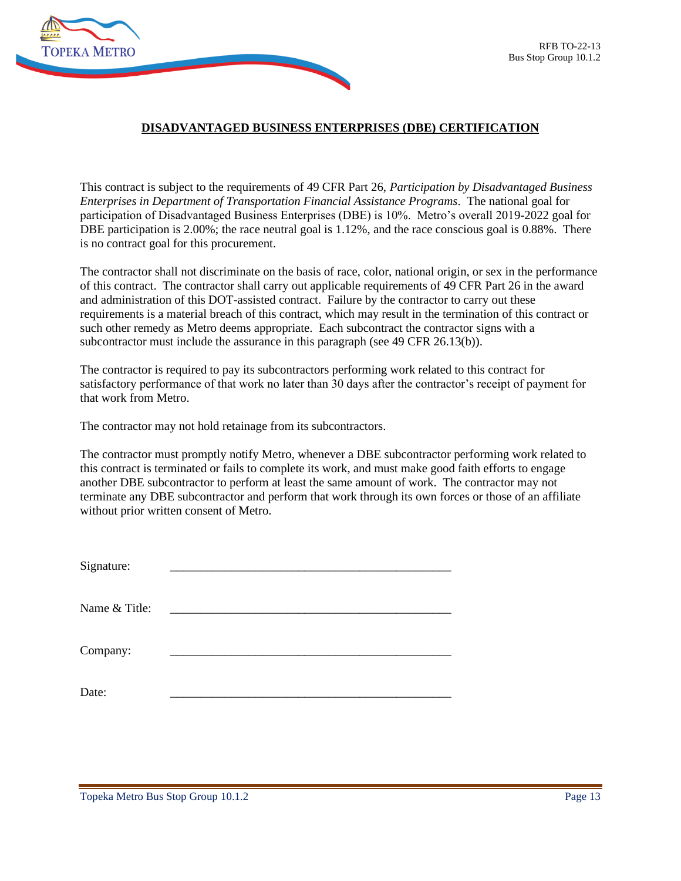

### **DISADVANTAGED BUSINESS ENTERPRISES (DBE) CERTIFICATION**

This contract is subject to the requirements of 49 CFR Part 26, *Participation by Disadvantaged Business Enterprises in Department of Transportation Financial Assistance Programs*. The national goal for participation of Disadvantaged Business Enterprises (DBE) is 10%. Metro's overall 2019-2022 goal for DBE participation is 2.00%; the race neutral goal is 1.12%, and the race conscious goal is 0.88%. There is no contract goal for this procurement.

The contractor shall not discriminate on the basis of race, color, national origin, or sex in the performance of this contract. The contractor shall carry out applicable requirements of 49 CFR Part 26 in the award and administration of this DOT-assisted contract. Failure by the contractor to carry out these requirements is a material breach of this contract, which may result in the termination of this contract or such other remedy as Metro deems appropriate. Each subcontract the contractor signs with a subcontractor must include the assurance in this paragraph (see 49 CFR 26.13(b)).

The contractor is required to pay its subcontractors performing work related to this contract for satisfactory performance of that work no later than 30 days after the contractor's receipt of payment for that work from Metro.

The contractor may not hold retainage from its subcontractors.

The contractor must promptly notify Metro, whenever a DBE subcontractor performing work related to this contract is terminated or fails to complete its work, and must make good faith efforts to engage another DBE subcontractor to perform at least the same amount of work. The contractor may not terminate any DBE subcontractor and perform that work through its own forces or those of an affiliate without prior written consent of Metro.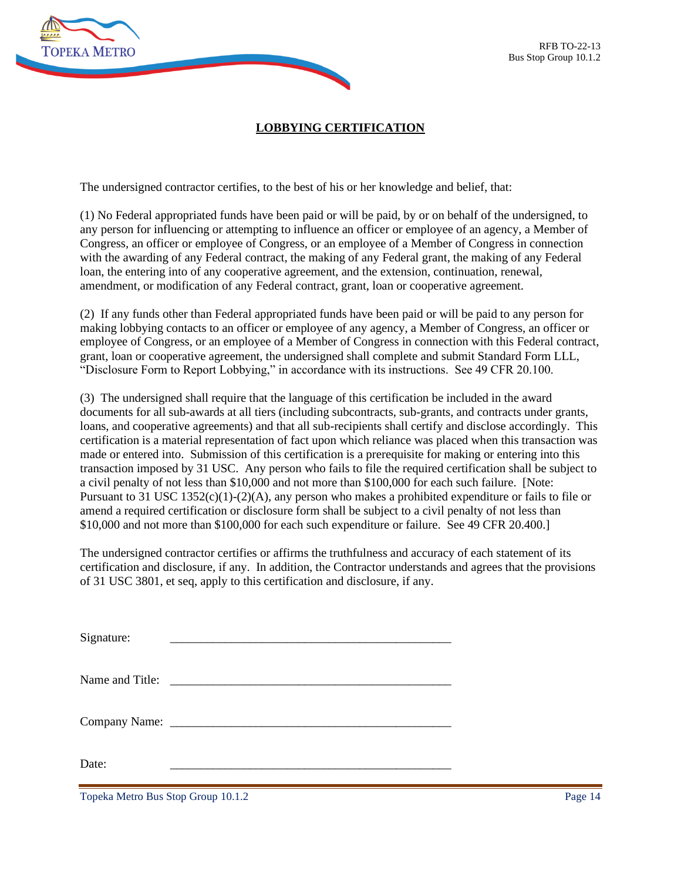

### **LOBBYING CERTIFICATION**

The undersigned contractor certifies, to the best of his or her knowledge and belief, that:

(1) No Federal appropriated funds have been paid or will be paid, by or on behalf of the undersigned, to any person for influencing or attempting to influence an officer or employee of an agency, a Member of Congress, an officer or employee of Congress, or an employee of a Member of Congress in connection with the awarding of any Federal contract, the making of any Federal grant, the making of any Federal loan, the entering into of any cooperative agreement, and the extension, continuation, renewal, amendment, or modification of any Federal contract, grant, loan or cooperative agreement.

(2) If any funds other than Federal appropriated funds have been paid or will be paid to any person for making lobbying contacts to an officer or employee of any agency, a Member of Congress, an officer or employee of Congress, or an employee of a Member of Congress in connection with this Federal contract, grant, loan or cooperative agreement, the undersigned shall complete and submit Standard Form LLL, "Disclosure Form to Report Lobbying," in accordance with its instructions. See 49 CFR 20.100.

(3) The undersigned shall require that the language of this certification be included in the award documents for all sub-awards at all tiers (including subcontracts, sub-grants, and contracts under grants, loans, and cooperative agreements) and that all sub-recipients shall certify and disclose accordingly. This certification is a material representation of fact upon which reliance was placed when this transaction was made or entered into. Submission of this certification is a prerequisite for making or entering into this transaction imposed by 31 USC. Any person who fails to file the required certification shall be subject to a civil penalty of not less than \$10,000 and not more than \$100,000 for each such failure. [Note: Pursuant to 31 USC  $1352(c)(1)-(2)(A)$ , any person who makes a prohibited expenditure or fails to file or amend a required certification or disclosure form shall be subject to a civil penalty of not less than \$10,000 and not more than \$100,000 for each such expenditure or failure. See 49 CFR 20.400.]

The undersigned contractor certifies or affirms the truthfulness and accuracy of each statement of its certification and disclosure, if any. In addition, the Contractor understands and agrees that the provisions of 31 USC 3801, et seq, apply to this certification and disclosure, if any.

| Signature:      |  |
|-----------------|--|
| Name and Title: |  |
|                 |  |
| Date:           |  |

Topeka Metro Bus Stop Group 10.1.2 Page 14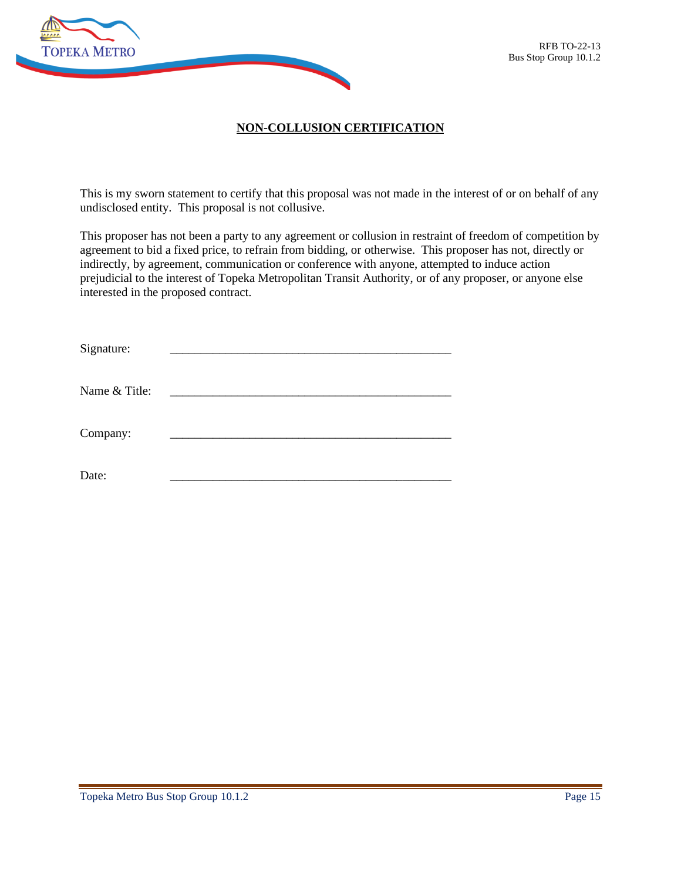

## **NON-COLLUSION CERTIFICATION**

This is my sworn statement to certify that this proposal was not made in the interest of or on behalf of any undisclosed entity. This proposal is not collusive.

This proposer has not been a party to any agreement or collusion in restraint of freedom of competition by agreement to bid a fixed price, to refrain from bidding, or otherwise. This proposer has not, directly or indirectly, by agreement, communication or conference with anyone, attempted to induce action prejudicial to the interest of Topeka Metropolitan Transit Authority, or of any proposer, or anyone else interested in the proposed contract.

| Signature:    |  |
|---------------|--|
| Name & Title: |  |
| Company:      |  |
| Date:         |  |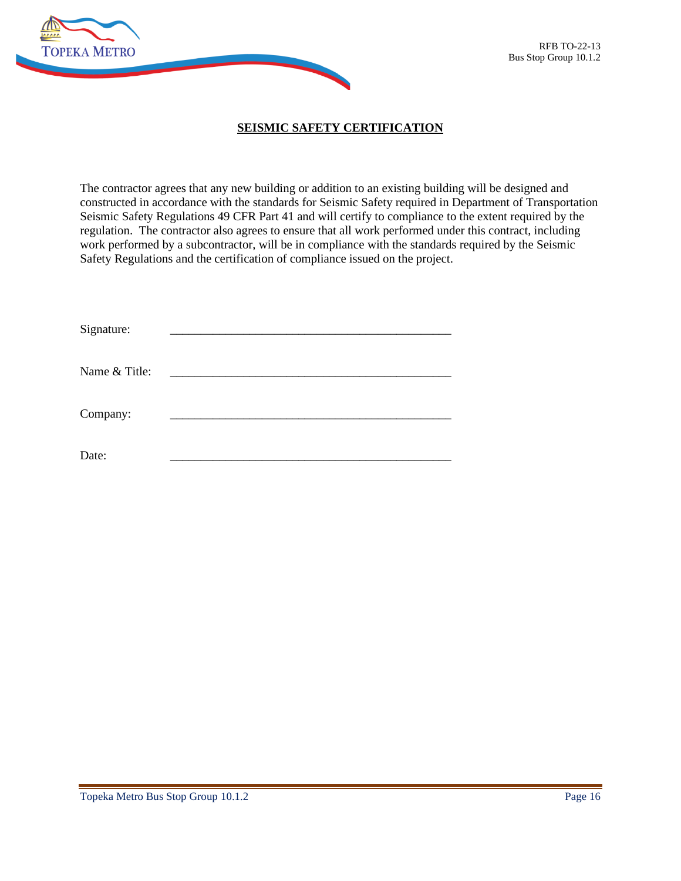

### **SEISMIC SAFETY CERTIFICATION**

The contractor agrees that any new building or addition to an existing building will be designed and constructed in accordance with the standards for Seismic Safety required in Department of Transportation Seismic Safety Regulations 49 CFR Part 41 and will certify to compliance to the extent required by the regulation. The contractor also agrees to ensure that all work performed under this contract, including work performed by a subcontractor, will be in compliance with the standards required by the Seismic Safety Regulations and the certification of compliance issued on the project.

| Signature:    |  |  |
|---------------|--|--|
| Name & Title: |  |  |
| Company:      |  |  |
| Date:         |  |  |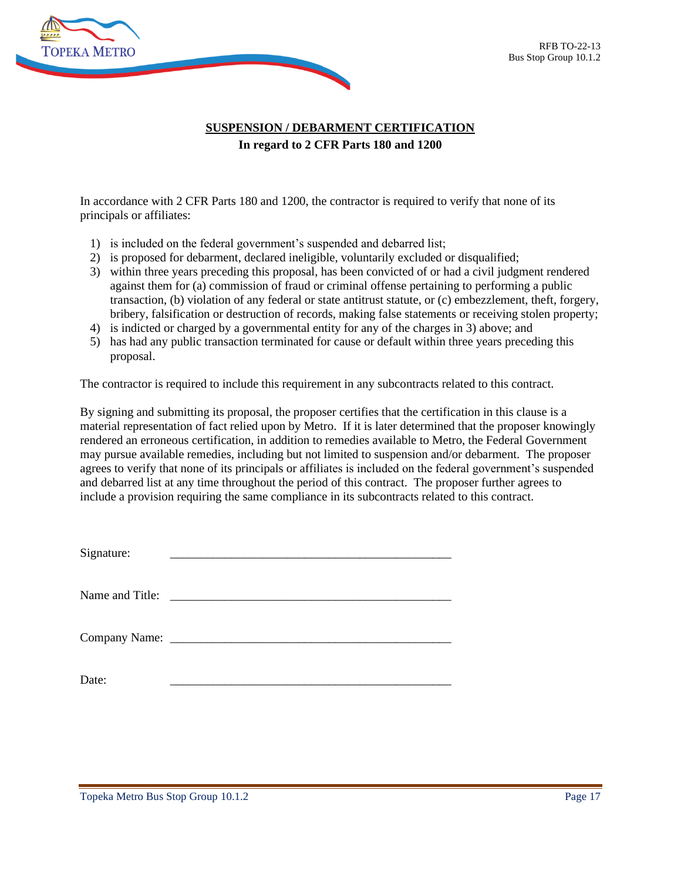# **SUSPENSION / DEBARMENT CERTIFICATION In regard to 2 CFR Parts 180 and 1200**

In accordance with 2 CFR Parts 180 and 1200, the contractor is required to verify that none of its principals or affiliates:

- 1) is included on the federal government's suspended and debarred list;
- 2) is proposed for debarment, declared ineligible, voluntarily excluded or disqualified;
- 3) within three years preceding this proposal, has been convicted of or had a civil judgment rendered against them for (a) commission of fraud or criminal offense pertaining to performing a public transaction, (b) violation of any federal or state antitrust statute, or (c) embezzlement, theft, forgery, bribery, falsification or destruction of records, making false statements or receiving stolen property;
- 4) is indicted or charged by a governmental entity for any of the charges in 3) above; and
- 5) has had any public transaction terminated for cause or default within three years preceding this proposal.

The contractor is required to include this requirement in any subcontracts related to this contract.

By signing and submitting its proposal, the proposer certifies that the certification in this clause is a material representation of fact relied upon by Metro. If it is later determined that the proposer knowingly rendered an erroneous certification, in addition to remedies available to Metro, the Federal Government may pursue available remedies, including but not limited to suspension and/or debarment. The proposer agrees to verify that none of its principals or affiliates is included on the federal government's suspended and debarred list at any time throughout the period of this contract. The proposer further agrees to include a provision requiring the same compliance in its subcontracts related to this contract.

| Signature: |  |
|------------|--|
|            |  |
|            |  |
| Date:      |  |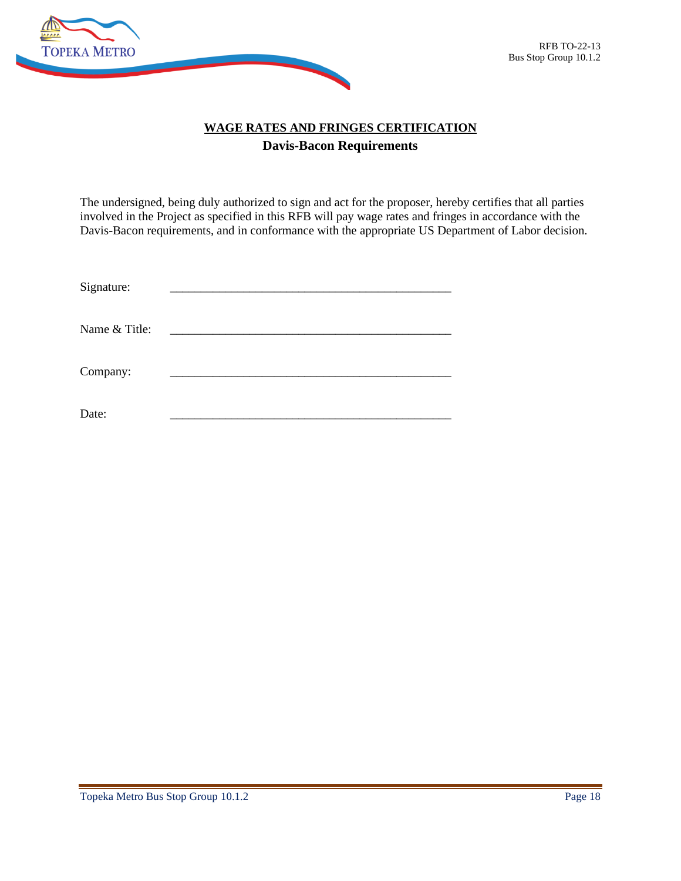

# **WAGE RATES AND FRINGES CERTIFICATION Davis-Bacon Requirements**

The undersigned, being duly authorized to sign and act for the proposer, hereby certifies that all parties involved in the Project as specified in this RFB will pay wage rates and fringes in accordance with the Davis-Bacon requirements, and in conformance with the appropriate US Department of Labor decision.

| Signature:    |  |
|---------------|--|
| Name & Title: |  |
| Company:      |  |
| Date:         |  |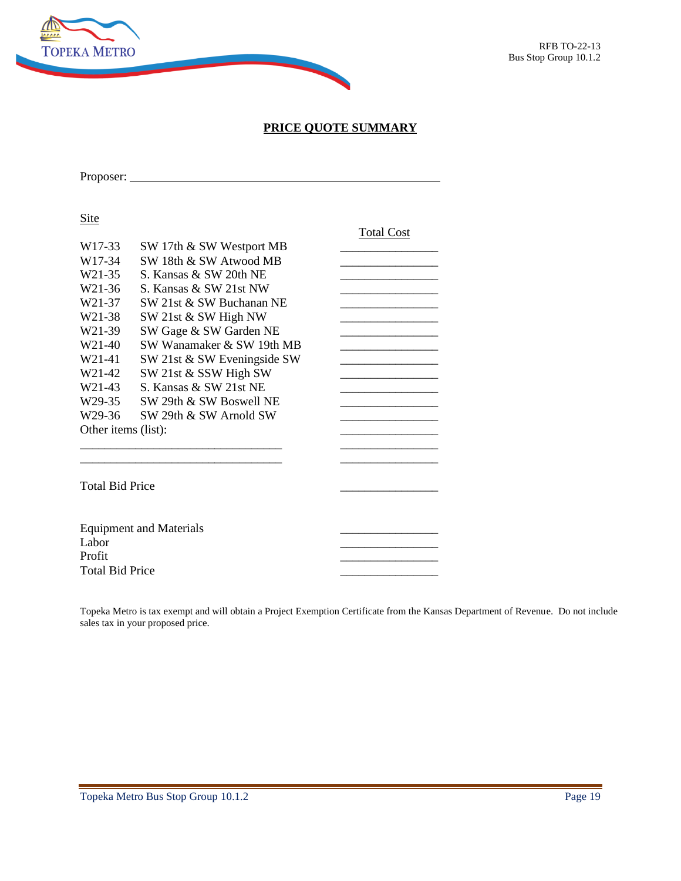

## **PRICE QUOTE SUMMARY**

Proposer:

### **Site**

|                        |                             | <b>Total Cost</b> |
|------------------------|-----------------------------|-------------------|
| W <sub>17-33</sub>     | SW 17th & SW Westport MB    |                   |
| W <sub>17-34</sub>     | SW 18th & SW Atwood MB      |                   |
| W <sub>21</sub> -35    | S. Kansas & SW 20th NE      |                   |
| W21-36                 | S. Kansas & SW 21st NW      |                   |
| W21-37                 | SW 21st & SW Buchanan NE    |                   |
| W21-38                 | SW 21st & SW High NW        |                   |
| W21-39                 | SW Gage & SW Garden NE      |                   |
| W21-40                 | SW Wanamaker & SW 19th MB   |                   |
| W <sub>21</sub> -41    | SW 21st & SW Eveningside SW |                   |
| W <sub>21</sub> -42    | SW 21st & SSW High SW       |                   |
| W21-43                 | S. Kansas & SW 21st NE      |                   |
| W <sub>29</sub> -35    | SW 29th & SW Boswell NE     |                   |
| W29-36                 | SW 29th & SW Arnold SW      |                   |
| Other items (list):    |                             |                   |
|                        |                             |                   |
|                        |                             |                   |
|                        |                             |                   |
| <b>Total Bid Price</b> |                             |                   |
|                        |                             |                   |

| <b>Equipment and Materials</b> |  |
|--------------------------------|--|
| Labor                          |  |
| Profit                         |  |
| <b>Total Bid Price</b>         |  |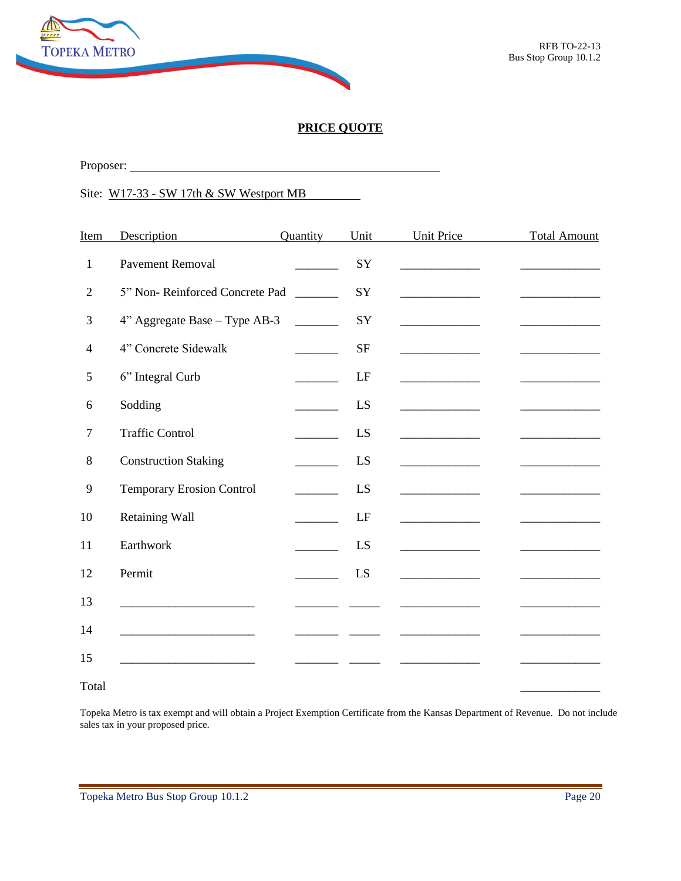

<u> 1980 - Johann Barn, mars ar breithinn ar chuid ann an t-Alban ann an t-Alban ann an t-Alban ann an t-Alban a</u>

Proposer:

## Site: W17-33 - SW 17th & SW Westport MB

| Item           | Description                                             | Quantity                                               | Unit      | <b>Unit Price</b>                          | <b>Total Amount</b>                               |
|----------------|---------------------------------------------------------|--------------------------------------------------------|-----------|--------------------------------------------|---------------------------------------------------|
| $\mathbf{1}$   | Pavement Removal                                        |                                                        | SY        | <u> 1989 - Johann Barbara, martin basa</u> |                                                   |
| $\overline{2}$ | 5" Non-Reinforced Concrete Pad                          | $\frac{1}{2}$ . The set of $\mathcal{O}(\mathbb{R}^d)$ | SY        |                                            |                                                   |
| 3              | 4" Aggregate Base - Type AB-3                           |                                                        | SY        |                                            | <u> 1980 - Johann Barnett, fransk politiker (</u> |
| $\overline{4}$ | 4" Concrete Sidewalk                                    |                                                        | <b>SF</b> | <u> 1989 - Johann Barbara, martin a</u>    |                                                   |
| 5              | 6" Integral Curb                                        | $\frac{1}{1}$                                          | LF        |                                            |                                                   |
| 6              | Sodding                                                 |                                                        | LS        |                                            |                                                   |
| $\overline{7}$ | <b>Traffic Control</b>                                  | <u>and the state</u>                                   | LS        |                                            |                                                   |
| 8              | <b>Construction Staking</b>                             |                                                        | LS        | <u> 1989 - Johann Barbara, martin a</u>    |                                                   |
| 9              | <b>Temporary Erosion Control</b>                        |                                                        | LS        | <u> 1989 - Johann Barbara, martin a</u>    |                                                   |
| 10             | <b>Retaining Wall</b>                                   |                                                        | LF        |                                            |                                                   |
| 11             | Earthwork                                               |                                                        | LS        |                                            |                                                   |
| 12             | Permit                                                  |                                                        | LS        |                                            |                                                   |
| 13             |                                                         |                                                        |           |                                            |                                                   |
| 14             | <u> 1989 - Johann Barbara, martin amerikan basar da</u> |                                                        |           |                                            |                                                   |
| 15             |                                                         |                                                        |           |                                            |                                                   |
| Total          |                                                         |                                                        |           |                                            |                                                   |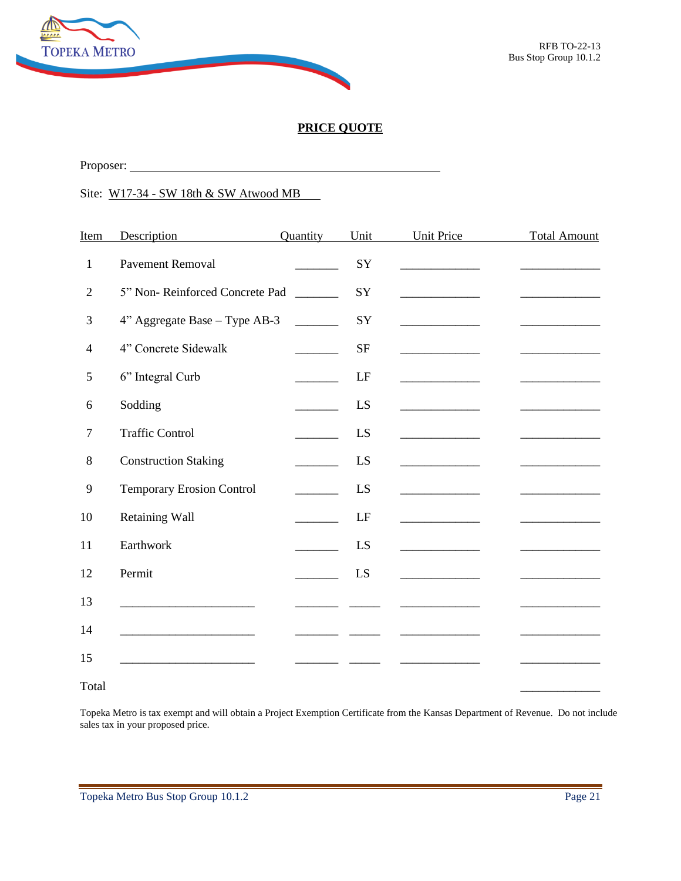

Proposer:

## Site: W17-34 - SW 18th & SW Atwood MB

| Item           | Description                                             | Quantity                                               | Unit      | <b>Unit Price</b>                          | <b>Total Amount</b>                               |
|----------------|---------------------------------------------------------|--------------------------------------------------------|-----------|--------------------------------------------|---------------------------------------------------|
| $\mathbf{1}$   | Pavement Removal                                        |                                                        | SY        | <u> 1989 - Johann Barbara, martin basa</u> |                                                   |
| $\overline{2}$ | 5" Non-Reinforced Concrete Pad                          | $\frac{1}{2}$ . The set of $\mathcal{O}(\mathbb{R}^d)$ | SY        |                                            |                                                   |
| 3              | 4" Aggregate Base - Type AB-3                           |                                                        | SY        |                                            | <u> 1980 - Johann Barnett, fransk politiker (</u> |
| $\overline{4}$ | 4" Concrete Sidewalk                                    |                                                        | <b>SF</b> | <u> 1989 - Johann Barbara, martin a</u>    |                                                   |
| 5              | 6" Integral Curb                                        | $\frac{1}{1}$                                          | LF        |                                            |                                                   |
| 6              | Sodding                                                 |                                                        | LS        |                                            |                                                   |
| $\overline{7}$ | <b>Traffic Control</b>                                  | <u>and the state</u>                                   | LS        |                                            |                                                   |
| 8              | <b>Construction Staking</b>                             |                                                        | LS        | <u> 1989 - Johann Barbara, martin a</u>    |                                                   |
| 9              | <b>Temporary Erosion Control</b>                        |                                                        | LS        | <u> 1989 - Johann Barbara, martin a</u>    |                                                   |
| 10             | <b>Retaining Wall</b>                                   |                                                        | LF        |                                            |                                                   |
| 11             | Earthwork                                               |                                                        | LS        |                                            |                                                   |
| 12             | Permit                                                  |                                                        | LS        |                                            |                                                   |
| 13             |                                                         |                                                        |           |                                            |                                                   |
| 14             | <u> 1989 - Johann Barbara, martin amerikan basar da</u> |                                                        |           |                                            |                                                   |
| 15             |                                                         |                                                        |           |                                            |                                                   |
| Total          |                                                         |                                                        |           |                                            |                                                   |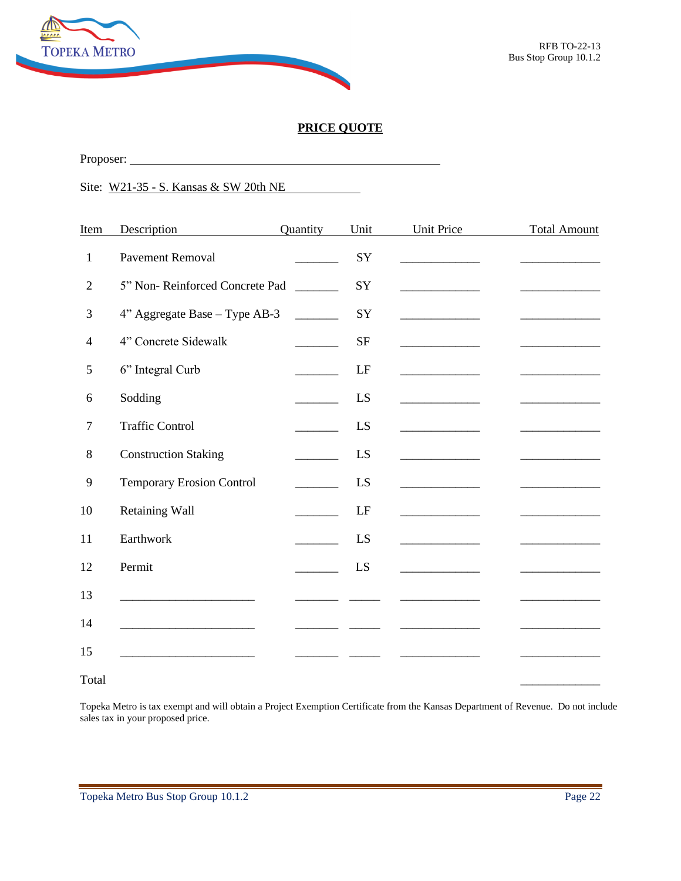

Proposer:

Site: W21-35 - S. Kansas & SW 20th NE

| Item           | Description                      | Quantity                                          | Unit      | <b>Unit Price</b>                                                                                                                                                                                                                    | <b>Total Amount</b>                          |
|----------------|----------------------------------|---------------------------------------------------|-----------|--------------------------------------------------------------------------------------------------------------------------------------------------------------------------------------------------------------------------------------|----------------------------------------------|
| 1              | <b>Pavement Removal</b>          |                                                   | SY        | <u> 1989 - Johann Barbara, martin a</u>                                                                                                                                                                                              |                                              |
| $\overline{2}$ | 5" Non-Reinforced Concrete Pad   |                                                   | SY        |                                                                                                                                                                                                                                      |                                              |
| 3              | 4" Aggregate Base - Type AB-3    |                                                   | SY        |                                                                                                                                                                                                                                      | the control of the control of the control of |
| 4              | 4" Concrete Sidewalk             |                                                   | <b>SF</b> | <u> 1989 - Johann Barbara, martin a</u>                                                                                                                                                                                              |                                              |
| 5              | 6" Integral Curb                 |                                                   | LF        | <u> 1990 - Johann Barbara, martin a</u>                                                                                                                                                                                              |                                              |
| 6              | Sodding                          | $\frac{1}{2}$ and $\frac{1}{2}$ and $\frac{1}{2}$ | LS        | <u> 1989 - Johann Barbara, martin a</u>                                                                                                                                                                                              |                                              |
| $\overline{7}$ | <b>Traffic Control</b>           |                                                   | LS        |                                                                                                                                                                                                                                      |                                              |
| 8              | <b>Construction Staking</b>      |                                                   | LS        | <u> 1989 - Jan Alexandria de Alexandro de Alexandro de Alexandro de Alexandro de Alexandro de Alexandro de Alexandro de Alexandro de Alexandro de Alexandro de Alexandro de Alexandro de Alexandro de Alexandro de Alexandro de </u> |                                              |
| 9              | <b>Temporary Erosion Control</b> |                                                   | LS        |                                                                                                                                                                                                                                      |                                              |
| 10             | <b>Retaining Wall</b>            | $\overline{\phantom{a}}$                          | LF        |                                                                                                                                                                                                                                      |                                              |
| 11             | Earthwork                        |                                                   | LS        |                                                                                                                                                                                                                                      |                                              |
| 12             | Permit                           |                                                   | LS        | <u> 1980 - Jan Alexandro III, politik pozitivni predstavanja pod predstavanja pozitivni predstavanja pozitivni pre</u>                                                                                                               |                                              |
| 13             |                                  | $\overline{\phantom{a}}$                          |           |                                                                                                                                                                                                                                      |                                              |
| 14             |                                  |                                                   |           |                                                                                                                                                                                                                                      |                                              |
| 15             |                                  |                                                   |           |                                                                                                                                                                                                                                      |                                              |
| Total          |                                  |                                                   |           |                                                                                                                                                                                                                                      |                                              |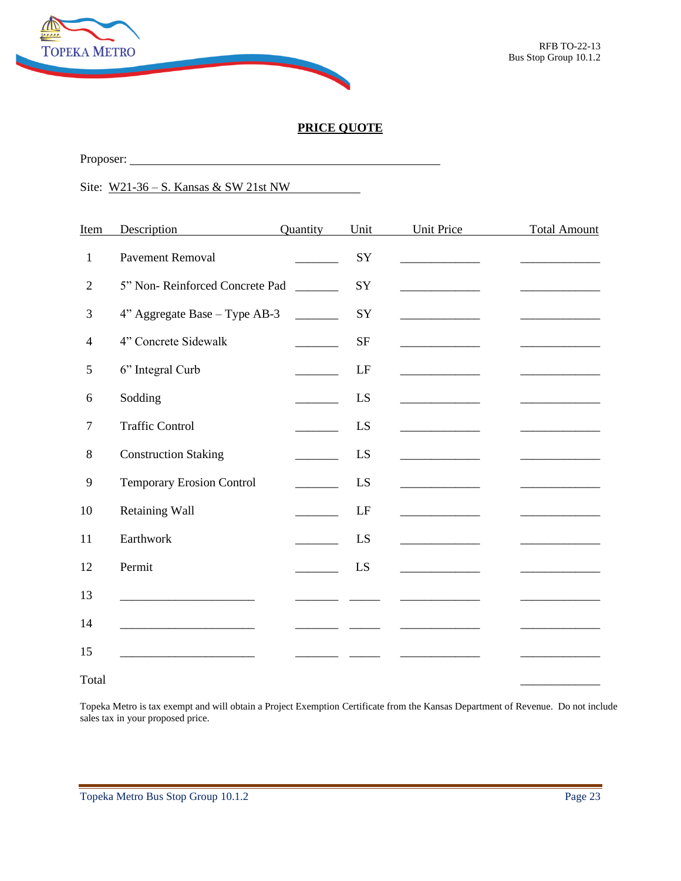

Proposer:

Site: W21-36 – S. Kansas & SW 21st NW

| Item           | Description                      | Quantity                         | Unit      | <b>Unit Price</b>                       | <b>Total Amount</b> |
|----------------|----------------------------------|----------------------------------|-----------|-----------------------------------------|---------------------|
| $\mathbf{1}$   | Pavement Removal                 |                                  | SY        | <u> 1989 - Johann Barbara, martxa a</u> |                     |
| $\overline{2}$ | 5" Non-Reinforced Concrete Pad   |                                  | <b>SY</b> |                                         |                     |
| 3              | 4" Aggregate Base - Type AB-3    |                                  | SY        |                                         |                     |
| $\overline{4}$ | 4" Concrete Sidewalk             |                                  | <b>SF</b> | <u> 1989 - Johann Barbara, martin a</u> |                     |
| 5              | 6" Integral Curb                 |                                  | LF        |                                         |                     |
| 6              | Sodding                          | $\frac{1}{1}$                    | LS        |                                         |                     |
| $\tau$         | <b>Traffic Control</b>           |                                  | LS        |                                         |                     |
| 8              | <b>Construction Staking</b>      |                                  | LS        | <u> 1980 - Johann Barbara, martin a</u> |                     |
| 9              | <b>Temporary Erosion Control</b> |                                  | LS        | <u> 1990 - Johann Barbara, martin a</u> |                     |
| 10             | <b>Retaining Wall</b>            | <u>and the state</u>             | LF        |                                         |                     |
| 11             | Earthwork                        |                                  | LS        |                                         |                     |
| 12             | Permit                           |                                  | LS        | <u> 1980 - Johann Barbara, martxa a</u> |                     |
| 13             |                                  | <u> 1989 - Johann Barnett, f</u> |           |                                         |                     |
| 14             |                                  |                                  |           |                                         |                     |
| 15             |                                  |                                  |           |                                         |                     |
| Total          |                                  |                                  |           |                                         |                     |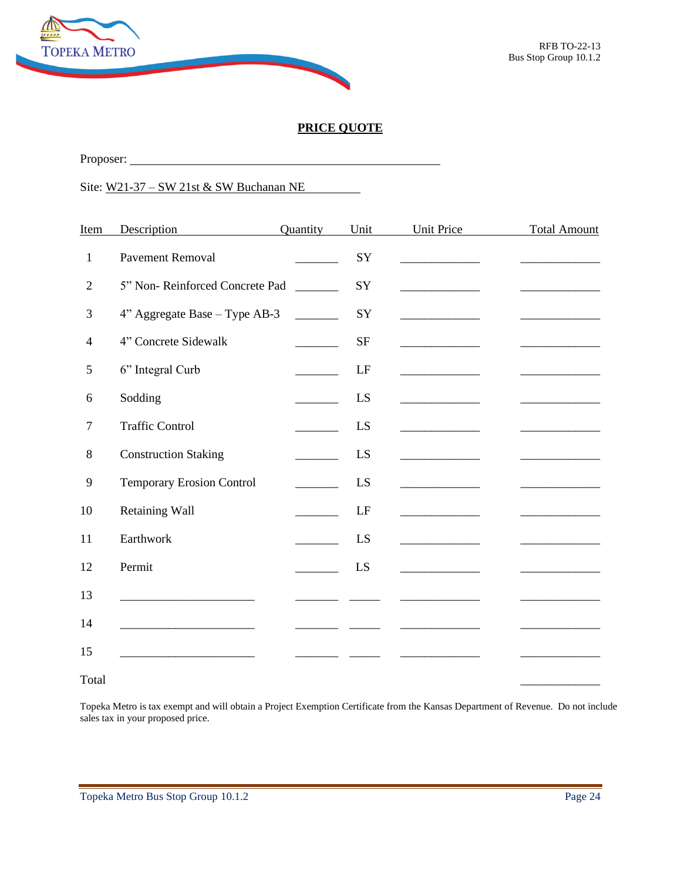

Proposer:

# Site: W21-37 – SW 21st & SW Buchanan NE

| Item           | Description                      | Quantity                                          | Unit      | <b>Unit Price</b>                                                                                                                                                                                                                    | <b>Total Amount</b>                          |
|----------------|----------------------------------|---------------------------------------------------|-----------|--------------------------------------------------------------------------------------------------------------------------------------------------------------------------------------------------------------------------------------|----------------------------------------------|
| 1              | <b>Pavement Removal</b>          |                                                   | SY        | <u> 1989 - Johann Barbara, martin a</u>                                                                                                                                                                                              |                                              |
| $\overline{2}$ | 5" Non-Reinforced Concrete Pad   |                                                   | SY        |                                                                                                                                                                                                                                      |                                              |
| 3              | 4" Aggregate Base - Type AB-3    |                                                   | SY        |                                                                                                                                                                                                                                      | the control of the control of the control of |
| 4              | 4" Concrete Sidewalk             |                                                   | <b>SF</b> | <u> 1989 - Johann Barbara, martin a</u>                                                                                                                                                                                              |                                              |
| 5              | 6" Integral Curb                 |                                                   | LF        | <u> 1990 - Johann Barbara, martin a</u>                                                                                                                                                                                              |                                              |
| 6              | Sodding                          | $\frac{1}{2}$ and $\frac{1}{2}$ and $\frac{1}{2}$ | LS        | <u> 1989 - Johann Barbara, martin a</u>                                                                                                                                                                                              |                                              |
| $\overline{7}$ | <b>Traffic Control</b>           |                                                   | LS        |                                                                                                                                                                                                                                      |                                              |
| 8              | <b>Construction Staking</b>      |                                                   | LS        | <u> 1989 - Jan Alexandria de Alexandro de Alexandro de Alexandro de Alexandro de Alexandro de Alexandro de Alexandro de Alexandro de Alexandro de Alexandro de Alexandro de Alexandro de Alexandro de Alexandro de Alexandro de </u> |                                              |
| 9              | <b>Temporary Erosion Control</b> |                                                   | LS        |                                                                                                                                                                                                                                      |                                              |
| 10             | <b>Retaining Wall</b>            | $\overline{\phantom{a}}$                          | LF        |                                                                                                                                                                                                                                      |                                              |
| 11             | Earthwork                        |                                                   | LS        |                                                                                                                                                                                                                                      |                                              |
| 12             | Permit                           |                                                   | LS        | <u> 1980 - Jan Alexandro III, politik pozitivni predstavanja pod predstavanja pozitivni predstavanja pozitivni pre</u>                                                                                                               |                                              |
| 13             |                                  | $\overline{\phantom{a}}$                          |           |                                                                                                                                                                                                                                      |                                              |
| 14             |                                  |                                                   |           |                                                                                                                                                                                                                                      |                                              |
| 15             |                                  |                                                   |           |                                                                                                                                                                                                                                      |                                              |
| Total          |                                  |                                                   |           |                                                                                                                                                                                                                                      |                                              |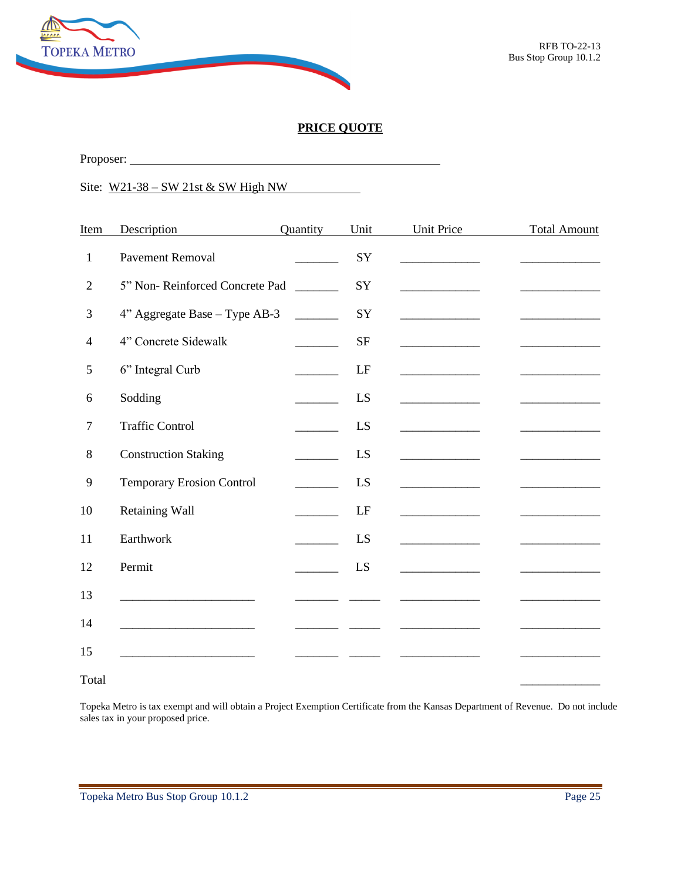

Proposer:

Site: W21-38 – SW 21st & SW High NW

| Item           | Description                      | Quantity                  | Unit      | <b>Unit Price</b>                                                                                                      | <b>Total Amount</b>                     |
|----------------|----------------------------------|---------------------------|-----------|------------------------------------------------------------------------------------------------------------------------|-----------------------------------------|
| 1              | <b>Pavement Removal</b>          |                           | SY        | <u> 1989 - Johann Barbara, martxa a</u>                                                                                |                                         |
| $\overline{2}$ | 5" Non-Reinforced Concrete Pad   |                           | SY        |                                                                                                                        |                                         |
| 3              | 4" Aggregate Base - Type AB-3    | <u> Liberal College (</u> | SY        |                                                                                                                        | <u> 1980 - Johann Barbara, martxa a</u> |
| 4              | 4" Concrete Sidewalk             |                           | <b>SF</b> | <u> 1989 - Johann Barbara, martin a</u>                                                                                |                                         |
| 5              | 6" Integral Curb                 |                           | LF        | <u> 1989 - Johann Barbara, martin a</u>                                                                                |                                         |
| 6              | Sodding                          |                           | LS        | <u> 1989 - Johann Barbara, martin e</u>                                                                                |                                         |
| $\overline{7}$ | <b>Traffic Control</b>           |                           | LS        |                                                                                                                        |                                         |
| 8              | <b>Construction Staking</b>      |                           | LS        |                                                                                                                        |                                         |
| 9              | <b>Temporary Erosion Control</b> | <u>and the state</u>      | LS        |                                                                                                                        |                                         |
| 10             | <b>Retaining Wall</b>            | $\overline{\phantom{a}}$  | LF        |                                                                                                                        |                                         |
| 11             | Earthwork                        |                           | LS        |                                                                                                                        |                                         |
| 12             | Permit                           |                           | LS        | <u> 1980 - Jan Alexandro III, politik pozitivni predstavanja pod predstavanja pozitivni predstavanja pozitivni pre</u> |                                         |
| 13             |                                  |                           |           |                                                                                                                        |                                         |
| 14             |                                  |                           |           |                                                                                                                        |                                         |
| 15             |                                  |                           |           |                                                                                                                        |                                         |
| Total          |                                  |                           |           |                                                                                                                        |                                         |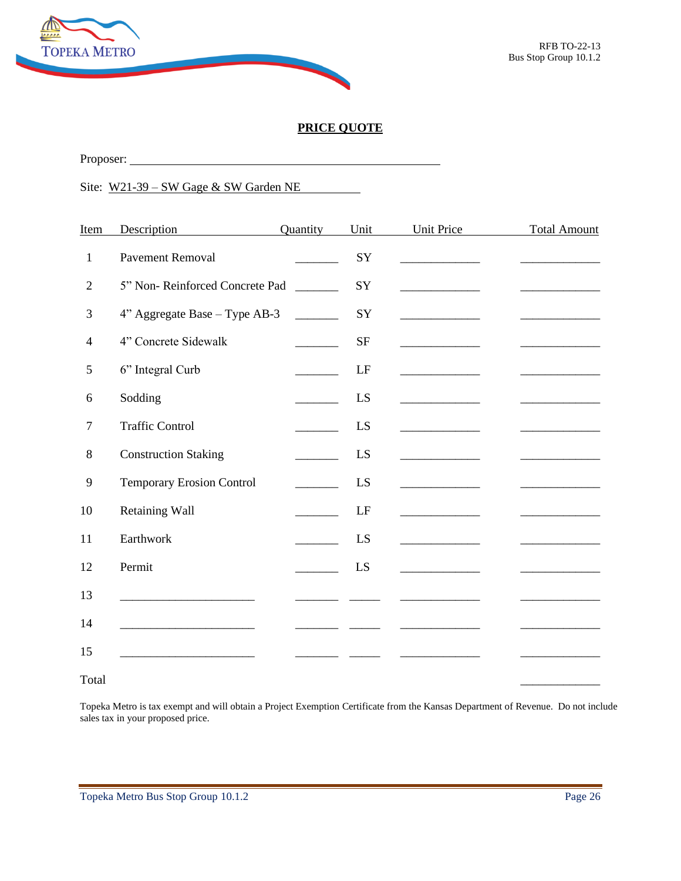

Proposer:

Site: W21-39 – SW Gage & SW Garden NE

| Item           | Description                      | Quantity                  | Unit      | <b>Unit Price</b>                                                                                                      | <b>Total Amount</b>                     |
|----------------|----------------------------------|---------------------------|-----------|------------------------------------------------------------------------------------------------------------------------|-----------------------------------------|
| 1              | <b>Pavement Removal</b>          |                           | SY        | <u> 1989 - Johann Barbara, martxa a</u>                                                                                |                                         |
| $\overline{2}$ | 5" Non-Reinforced Concrete Pad   |                           | SY        |                                                                                                                        |                                         |
| 3              | 4" Aggregate Base - Type AB-3    | <u> Liberal College (</u> | SY        |                                                                                                                        | <u> 1980 - Johann Barbara, martxa a</u> |
| 4              | 4" Concrete Sidewalk             |                           | <b>SF</b> | <u> 1989 - Johann Barbara, martin a</u>                                                                                |                                         |
| 5              | 6" Integral Curb                 |                           | LF        | <u> 1989 - Johann Barbara, martin a</u>                                                                                |                                         |
| 6              | Sodding                          |                           | LS        | <u> 1989 - Johann Barbara, martin e</u>                                                                                |                                         |
| $\overline{7}$ | <b>Traffic Control</b>           |                           | LS        |                                                                                                                        |                                         |
| 8              | <b>Construction Staking</b>      |                           | LS        |                                                                                                                        |                                         |
| 9              | <b>Temporary Erosion Control</b> | <u>and the state</u>      | LS        |                                                                                                                        |                                         |
| 10             | <b>Retaining Wall</b>            | $\overline{\phantom{a}}$  | LF        |                                                                                                                        |                                         |
| 11             | Earthwork                        |                           | LS        |                                                                                                                        |                                         |
| 12             | Permit                           |                           | LS        | <u> 1980 - Jan Alexandro III, politik pozitivni predstavanja pod predstavanja pozitivni predstavanja pozitivni pre</u> |                                         |
| 13             |                                  |                           |           |                                                                                                                        |                                         |
| 14             |                                  |                           |           |                                                                                                                        |                                         |
| 15             |                                  |                           |           |                                                                                                                        |                                         |
| Total          |                                  |                           |           |                                                                                                                        |                                         |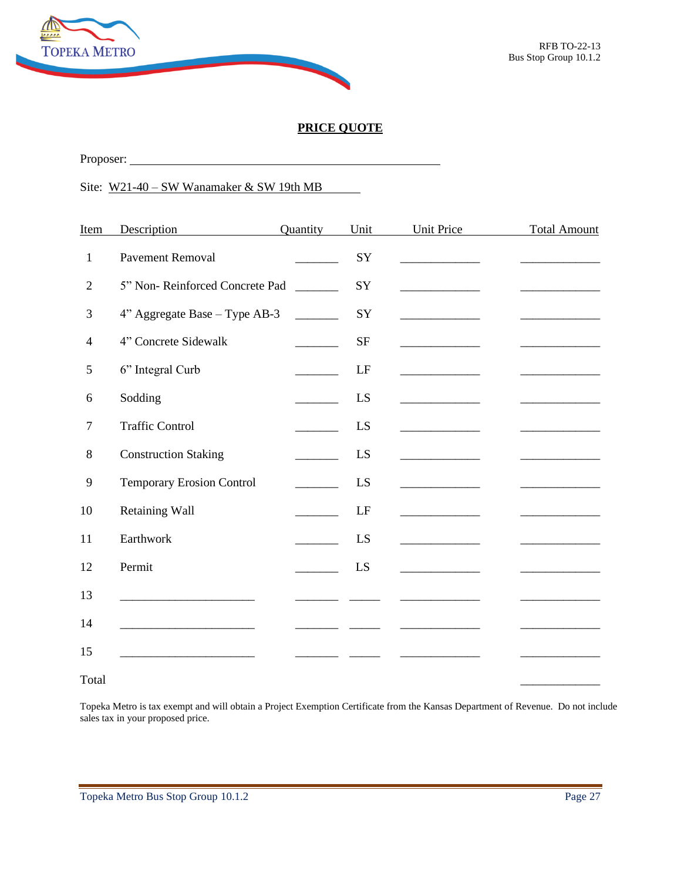

Proposer:

# Site: W21-40 – SW Wanamaker & SW 19th MB

| Item           | Description                      | Quantity                  | Unit      | <b>Unit Price</b>                                                                                                      | <b>Total Amount</b>                     |
|----------------|----------------------------------|---------------------------|-----------|------------------------------------------------------------------------------------------------------------------------|-----------------------------------------|
| 1              | <b>Pavement Removal</b>          |                           | SY        | <u> 1989 - Johann Barbara, martxa a</u>                                                                                |                                         |
| $\overline{2}$ | 5" Non-Reinforced Concrete Pad   |                           | SY        |                                                                                                                        |                                         |
| 3              | 4" Aggregate Base - Type AB-3    | <u> Liberal College (</u> | SY        |                                                                                                                        | <u> 1980 - Johann Barbara, martxa a</u> |
| $\overline{4}$ | 4" Concrete Sidewalk             |                           | <b>SF</b> | <u> 1989 - Johann Barbara, martin a</u>                                                                                |                                         |
| 5              | 6" Integral Curb                 |                           | LF        | <u> 1989 - Johann Barbara, martin a</u>                                                                                |                                         |
| 6              | Sodding                          |                           | LS        | <u> 1989 - Johann Barbara, martin e</u>                                                                                |                                         |
| $\overline{7}$ | <b>Traffic Control</b>           |                           | LS        | <u> 1980 - Johann Barn, mars ar breithinn ar breithinn ar breithinn ar breithinn ar breithinn ar breithinn ar br</u>   |                                         |
| 8              | <b>Construction Staking</b>      |                           | LS        |                                                                                                                        |                                         |
| 9              | <b>Temporary Erosion Control</b> | <u>and the state</u>      | LS        |                                                                                                                        |                                         |
| 10             | <b>Retaining Wall</b>            | $\overline{\phantom{a}}$  | LF        |                                                                                                                        |                                         |
| 11             | Earthwork                        |                           | LS        |                                                                                                                        |                                         |
| 12             | Permit                           |                           | LS        | <u> 1980 - Jan Alexandro III, politik pozitivni predstavanja pod predstavanja pozitivni predstavanja pozitivni pre</u> |                                         |
| 13             |                                  |                           |           |                                                                                                                        |                                         |
| 14             |                                  |                           |           |                                                                                                                        |                                         |
| 15             |                                  |                           |           |                                                                                                                        |                                         |
| Total          |                                  |                           |           |                                                                                                                        |                                         |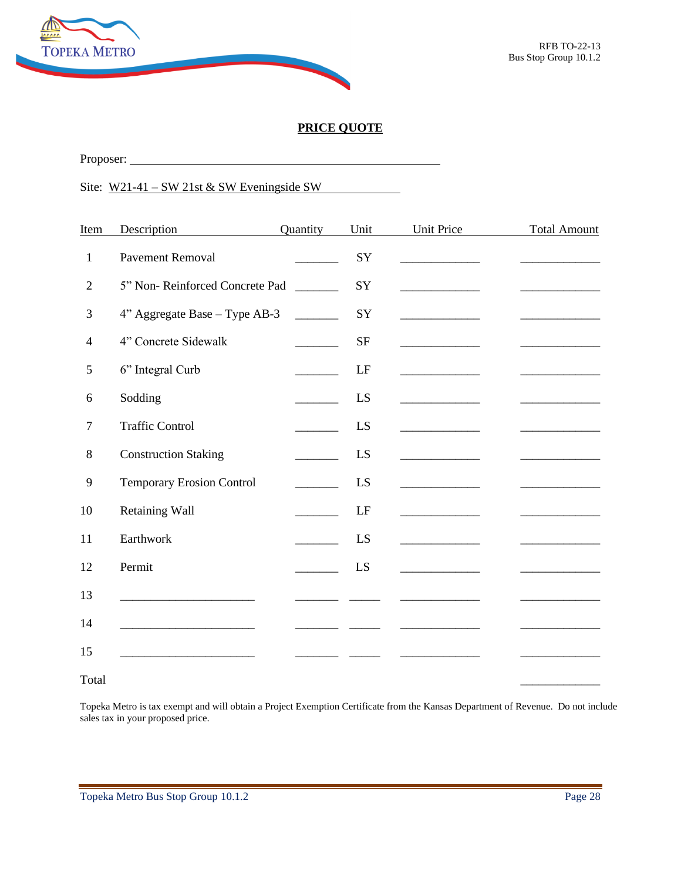

Proposer:

# Site: W21-41 – SW 21st & SW Eveningside SW

| Item           | Description                                                                                                          | Quantity                          | Unit      | <b>Unit Price</b>                       | <b>Total Amount</b> |
|----------------|----------------------------------------------------------------------------------------------------------------------|-----------------------------------|-----------|-----------------------------------------|---------------------|
| 1              | Pavement Removal                                                                                                     |                                   | SY        | <u> 1989 - Johann Barbara, martxa a</u> |                     |
| $\overline{2}$ | 5" Non-Reinforced Concrete Pad                                                                                       |                                   | SY        | $\frac{1}{2}$                           |                     |
| 3              | 4" Aggregate Base - Type AB-3                                                                                        |                                   | SY        |                                         |                     |
| $\overline{4}$ | 4" Concrete Sidewalk                                                                                                 |                                   | <b>SF</b> | <u> 1989 - Johann Barbara, martin a</u> |                     |
| 5              | 6" Integral Curb                                                                                                     | $\frac{1}{1}$                     | LF        |                                         |                     |
| 6              | Sodding                                                                                                              |                                   | LS        |                                         |                     |
| $\overline{7}$ | <b>Traffic Control</b>                                                                                               |                                   | LS        |                                         |                     |
| 8              | <b>Construction Staking</b>                                                                                          |                                   | LS        | <u> 1989 - Johann Barbara, martin a</u> |                     |
| 9              | <b>Temporary Erosion Control</b>                                                                                     |                                   | LS        | <u> 1990 - Johann Barbara, martin a</u> |                     |
| 10             | <b>Retaining Wall</b>                                                                                                | $\mathcal{L} = \{ \mathcal{L} \}$ | LF        |                                         |                     |
| 11             | Earthwork                                                                                                            |                                   | LS        |                                         |                     |
| 12             | Permit                                                                                                               |                                   | LS        |                                         |                     |
| 13             |                                                                                                                      |                                   |           |                                         |                     |
| 14             | <u> 1989 - Johann Barbara, martin amerikan basar dan basa dan basar dalam basa dalam basa dalam basa dalam basa </u> |                                   |           |                                         |                     |
| 15             |                                                                                                                      |                                   |           |                                         |                     |
| Total          |                                                                                                                      |                                   |           |                                         |                     |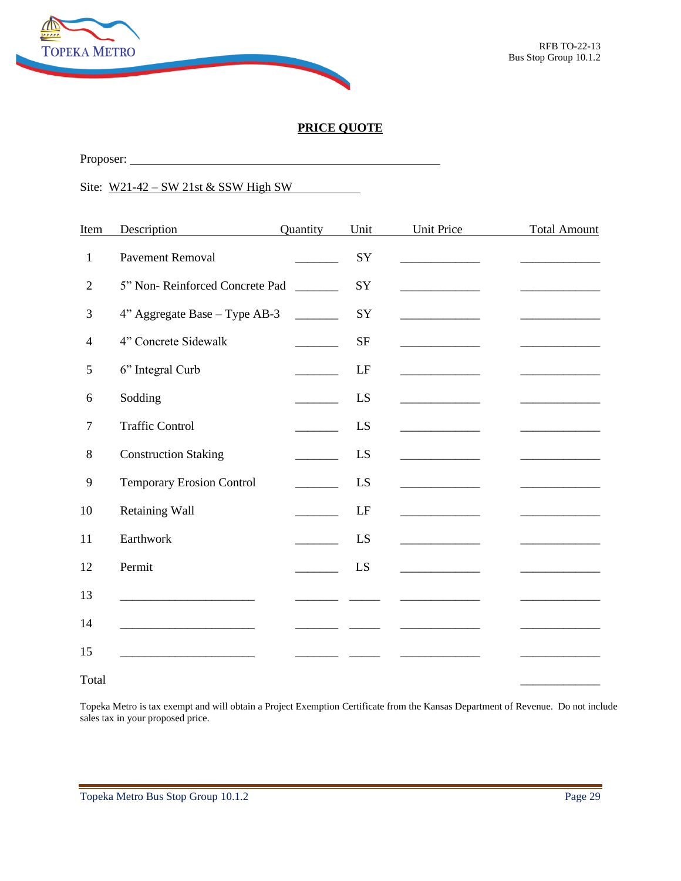

Proposer:

Site: W21-42 – SW 21st & SSW High SW

| Item           | Description                      | Quantity             | Unit      | <b>Unit Price</b>                       | <b>Total Amount</b> |
|----------------|----------------------------------|----------------------|-----------|-----------------------------------------|---------------------|
| $\mathbf{1}$   | Pavement Removal                 |                      | SY        | <u> 1989 - Johann Barbara, martxa a</u> |                     |
| $\overline{2}$ | 5" Non-Reinforced Concrete Pad   |                      | <b>SY</b> |                                         |                     |
| 3              | 4" Aggregate Base - Type AB-3    |                      | SY        |                                         |                     |
| $\overline{4}$ | 4" Concrete Sidewalk             |                      | <b>SF</b> | <u> 1989 - Johann Barbara, martin a</u> |                     |
| 5              | 6" Integral Curb                 |                      | LF        |                                         |                     |
| 6              | Sodding                          | $\frac{1}{1}$        | LS        |                                         |                     |
| $\tau$         | <b>Traffic Control</b>           |                      | LS        |                                         |                     |
| 8              | <b>Construction Staking</b>      |                      | LS        | <u> 1980 - Johann Barbara, martin a</u> |                     |
| 9              | <b>Temporary Erosion Control</b> |                      | LS        | <u> 1990 - Johann Barbara, martin a</u> |                     |
| 10             | <b>Retaining Wall</b>            | <u>and the state</u> | LF        |                                         |                     |
| 11             | Earthwork                        |                      | LS        |                                         |                     |
| 12             | Permit                           |                      | LS        | <u> 1980 - Johann Barbara, martxa a</u> |                     |
| 13             |                                  |                      |           |                                         |                     |
| 14             |                                  |                      |           |                                         |                     |
| 15             |                                  |                      |           |                                         |                     |
| Total          |                                  |                      |           |                                         |                     |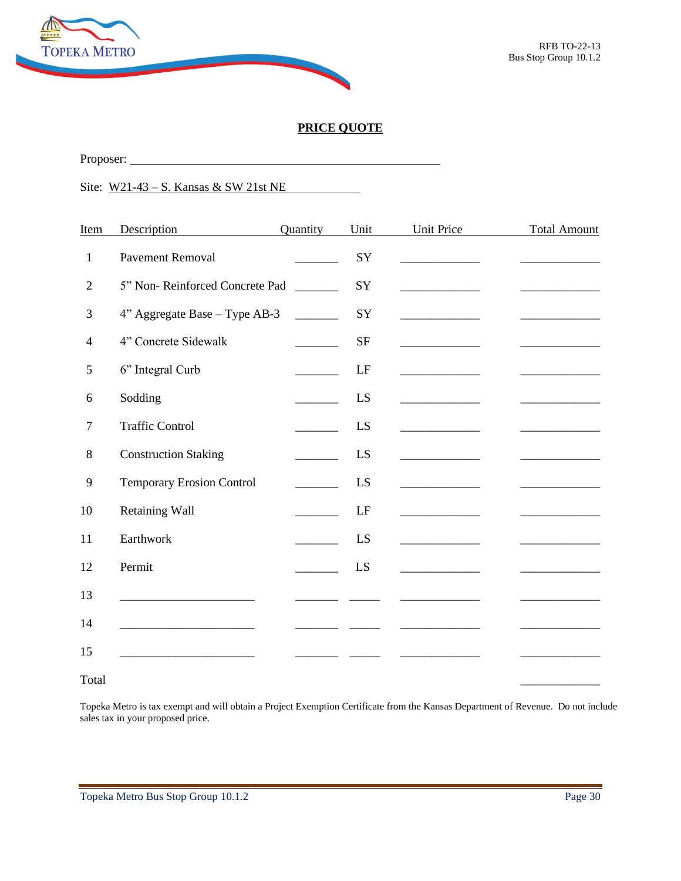

Proposer:

Site: W21-43 – S. Kansas & SW 21st NE

| Item           | Description                      | Quantity                  | Unit      | <b>Unit Price</b>                                                                                                      | <b>Total Amount</b>                     |
|----------------|----------------------------------|---------------------------|-----------|------------------------------------------------------------------------------------------------------------------------|-----------------------------------------|
| 1              | <b>Pavement Removal</b>          |                           | SY        | <u> 1989 - Johann Barbara, martxa a</u>                                                                                |                                         |
| $\overline{2}$ | 5" Non-Reinforced Concrete Pad   |                           | SY        |                                                                                                                        |                                         |
| 3              | 4" Aggregate Base - Type AB-3    | <u> Liberal College (</u> | SY        |                                                                                                                        | <u> 1989 - Johann Barbara, martxa a</u> |
| $\overline{4}$ | 4" Concrete Sidewalk             |                           | <b>SF</b> | <u> 1989 - Johann Barbara, martin a</u>                                                                                |                                         |
| 5              | 6" Integral Curb                 |                           | LF        | <u> 1989 - Johann Barbara, martin a</u>                                                                                |                                         |
| 6              | Sodding                          |                           | LS        | <u> 1989 - Johann Barbara, martin e</u>                                                                                |                                         |
| $\overline{7}$ | <b>Traffic Control</b>           |                           | LS        |                                                                                                                        |                                         |
| 8              | <b>Construction Staking</b>      |                           | LS        |                                                                                                                        |                                         |
| 9              | <b>Temporary Erosion Control</b> | <u>and the state</u>      | LS        |                                                                                                                        |                                         |
| 10             | <b>Retaining Wall</b>            | $\overline{\phantom{a}}$  | LF        |                                                                                                                        |                                         |
| 11             | Earthwork                        |                           | LS        |                                                                                                                        |                                         |
| 12             | Permit                           |                           | LS        | <u> 1980 - Jan Alexandro III, politik pozitivni predstavanja pod predstavanja pozitivni predstavanja pozitivni pre</u> |                                         |
| 13             |                                  |                           |           |                                                                                                                        |                                         |
| 14             |                                  |                           |           |                                                                                                                        |                                         |
| 15             |                                  |                           |           |                                                                                                                        |                                         |
| Total          |                                  |                           |           |                                                                                                                        |                                         |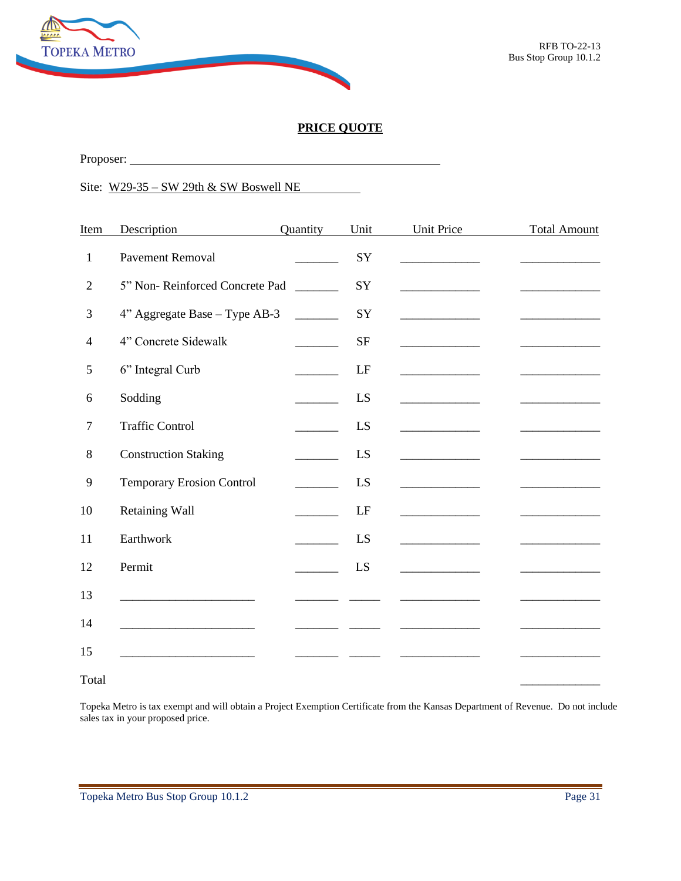

Proposer:

Site: <u>W29-35 – SW 29th & SW Boswell NE</u>

| Item           | Description                      | Quantity                                                                                                 | Unit      | <b>Unit Price</b>                       | <b>Total Amount</b>                          |
|----------------|----------------------------------|----------------------------------------------------------------------------------------------------------|-----------|-----------------------------------------|----------------------------------------------|
| $\mathbf{1}$   | Pavement Removal                 |                                                                                                          | SY        |                                         |                                              |
| $\overline{2}$ | 5" Non-Reinforced Concrete Pad   |                                                                                                          | SY        | <u> 1980 - Johann Barbara, martin a</u> | the company of the company of the company of |
| 3              | 4" Aggregate Base - Type AB-3    | $\begin{array}{c} \begin{array}{c} \hline \end{array} & \begin{array}{c} \hline \end{array} \end{array}$ | SY        |                                         |                                              |
| $\overline{4}$ | 4" Concrete Sidewalk             |                                                                                                          | $\rm{SF}$ | _________________________               |                                              |
| 5              | 6" Integral Curb                 | $\overline{\phantom{a}}$                                                                                 | LF        |                                         |                                              |
| 6              | Sodding                          | $\frac{1}{1}$                                                                                            | LS        |                                         | <u> 1989 - Johann Barbara, martxa al</u>     |
| $\overline{7}$ | <b>Traffic Control</b>           |                                                                                                          | LS        | <u> 1990 - Johann Barbara, martin a</u> |                                              |
| 8              | <b>Construction Staking</b>      |                                                                                                          | LS        |                                         |                                              |
| 9              | <b>Temporary Erosion Control</b> |                                                                                                          | LS        |                                         |                                              |
| 10             | <b>Retaining Wall</b>            |                                                                                                          | LF        |                                         |                                              |
| 11             | Earthwork                        |                                                                                                          | LS        |                                         |                                              |
| 12             | Permit                           |                                                                                                          | LS        | <u> 1980 - Johann Barbara, martin a</u> |                                              |
| 13             |                                  |                                                                                                          |           |                                         |                                              |
| 14             |                                  |                                                                                                          |           |                                         |                                              |
| 15             |                                  |                                                                                                          |           |                                         |                                              |
| Total          |                                  |                                                                                                          |           |                                         |                                              |